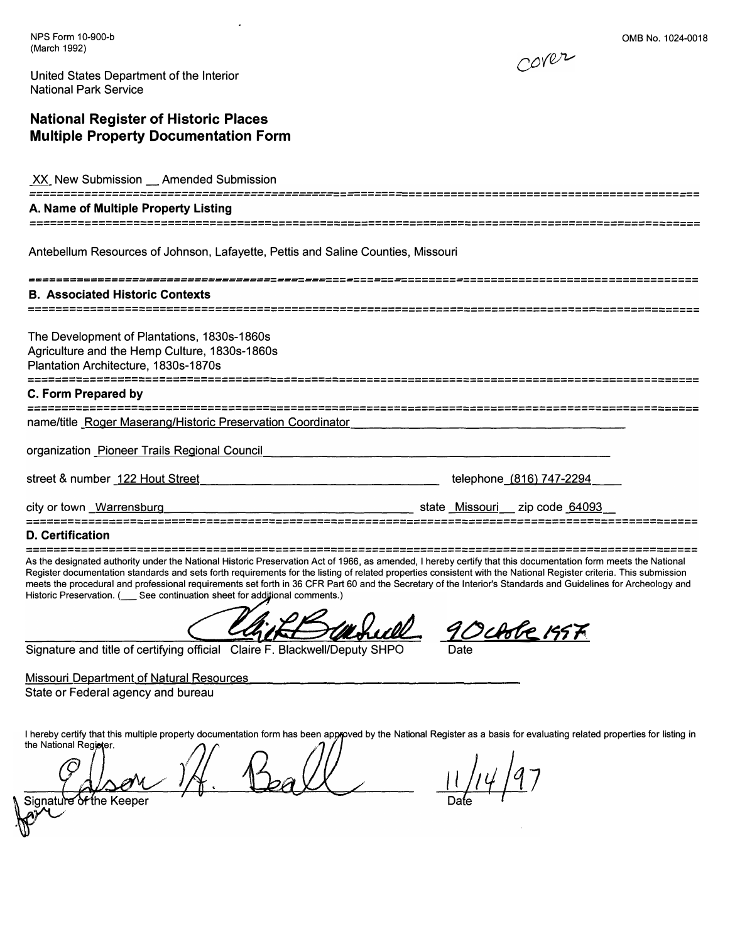NPS Form 10-900-b (March 1992)

0MB No. 1024-0018



United States Department of the Interior National Park Service

# **National Register of Historic Places Multiple Property Documentation Form**

XX New Submission Amended Submission

## **A. Name of Multiple Property Listing**

--------------------------------------------==-===-==-========================================-==

Antebellum Resources of Johnson, Lafayette, Pettis and Saline Counties, Missouri

-----------------------------------=---=---===-===-==-========-================================== **B. Associated Historic Contexts** 

The Development of Plantations, 1830s-1860s Agriculture and the Hemp Culture, 1830s-1860s Plantation Architecture, 1830s-1870s

**C. Form Prepared by** 

name/title Roger Maserang/Historic Preservation Coordinator

organization Pioneer Trails Regional Council

street & number 122 Hout Street

telephone (816) 747-2294

city or town \_Warrensburg

state Missouri zip code 64093

## **D. Certification**

As the designated authority under the National Historic Preservation Act of 1966, as amended, I hereby certify that this documentation form meets the National Register documentation standards and sets forth requirements for the listing of related properties consistent with the National Register criteria. This submission meets the procedural and professional requirements set forth in 36 CFR Part 60 and the Secretary of the Interior's Standards and Guidelines for Archeology and Historic Preservation. ( \_\_ See continuation sheet for additional comments.)

*90�Mttf�* 

Signature and title of certifying official Claire F. Blackwell/Deputy SHPO

Missouri Department of Natural Resources

State or Federal agency and bureau

I hereby certify that this multiple property documentation form has been approved by the National Register as a basis for evaluating related properties for listing in the National Register.

of the Keeper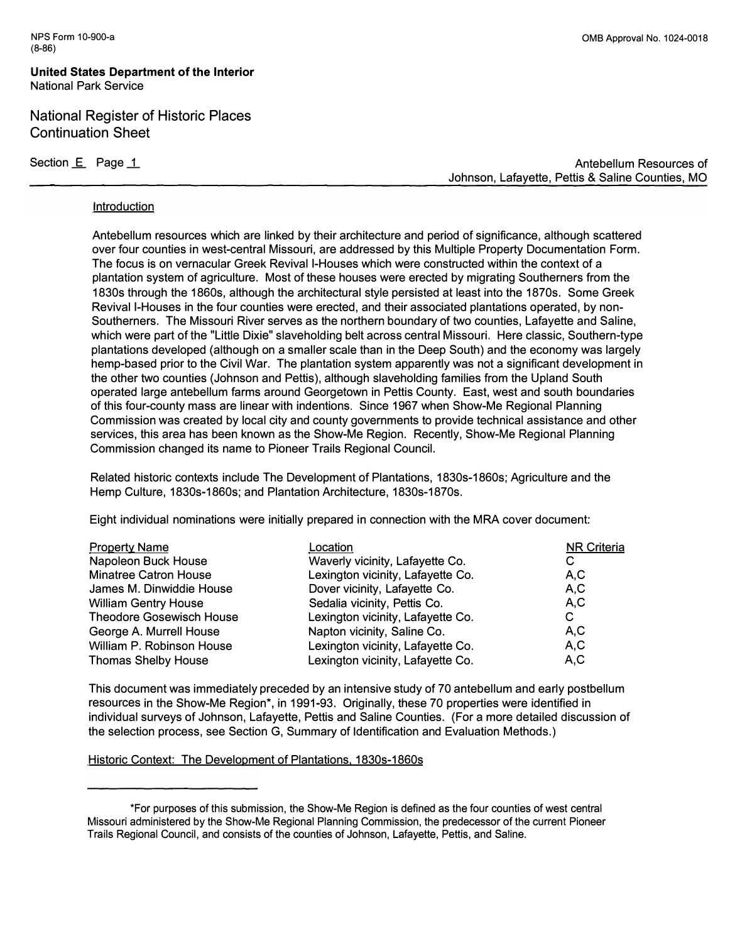**United States Department of the Interior**  National Park Service

# National Register of Historic Places Continuation Sheet

Section E Page 1

Antebellum Resources of Johnson, Lafayette, Pettis & Saline Counties, MO

#### **Introduction**

Antebellum resources which are linked by their architecture and period of significance, although scattered over four counties in west-central Missouri, are addressed by this Multiple Property Documentation Form. The focus is on vernacular Greek Revival I-Houses which were constructed within the context of a plantation system of agriculture. Most of these houses were erected by migrating Southerners from the 1830s through the 1860s, although the architectural style persisted at least into the 1870s. Some Greek Revival I-Houses in the four counties were erected, and their associated plantations operated, by non-Southerners. The Missouri River serves as the northern boundary of two counties, Lafayette and Saline, which were part of the "Little Dixie" slaveholding belt across central Missouri. Here classic, Southern-type plantations developed (although on a smaller scale than in the Deep South) and the economy was largely hemp-based prior to the Civil War. The plantation system apparently was not a significant development in the other two counties (Johnson and Pettis), although slaveholding families from the Upland South operated large antebellum farms around Georgetown in Pettis County. East, west and south boundaries of this four-county mass are linear with indentions. Since 1967 when Show-Me Regional Planning Commission was created by local city and county governments to provide technical assistance and other services, this area has been known as the Show-Me Region. Recently, Show-Me Regional Planning Commission changed its name to Pioneer Trails Regional Council.

Related historic contexts include The Development of Plantations, 1830s-1860s; Agriculture and the Hemp Culture, 1830s-1860s; and Plantation Architecture, 1830s-1870s.

Eight individual nominations were initially prepared in connection with the MRA cover document:

| <b>Property Name</b>            | Location                          | <b>NR Criteria</b> |
|---------------------------------|-----------------------------------|--------------------|
| Napoleon Buck House             | Waverly vicinity, Lafayette Co.   |                    |
| <b>Minatree Catron House</b>    | Lexington vicinity, Lafayette Co. | A,C                |
| James M. Dinwiddie House        | Dover vicinity, Lafayette Co.     | A, C               |
| <b>William Gentry House</b>     | Sedalia vicinity, Pettis Co.      | A, C               |
| <b>Theodore Gosewisch House</b> | Lexington vicinity, Lafayette Co. | С                  |
| George A. Murrell House         | Napton vicinity, Saline Co.       | A,C                |
| William P. Robinson House       | Lexington vicinity, Lafayette Co. | A, C               |
| <b>Thomas Shelby House</b>      | Lexington vicinity, Lafayette Co. | A,C                |

This document was immediately preceded by an intensive study of 70 antebellum and early postbellum resources in the Show-Me Region\*, in 1991-93. Originally, these 70 properties were identified in individual surveys of Johnson, Lafayette, Pettis and Saline Counties. (For a more detailed discussion of the selection process, see Section G, Summary of Identification and Evaluation Methods.)

Historic Context: The Development of Plantations, 1830s-1860s

<sup>\*</sup>For purposes of this submission, the Show-Me Region is defined as the four counties of west central Missouri administered by the Show-Me Regional Planning Commission, the predecessor of the current Pioneer Trails Regional Council, and consists of the counties of Johnson, Lafayette, Pettis, and Saline.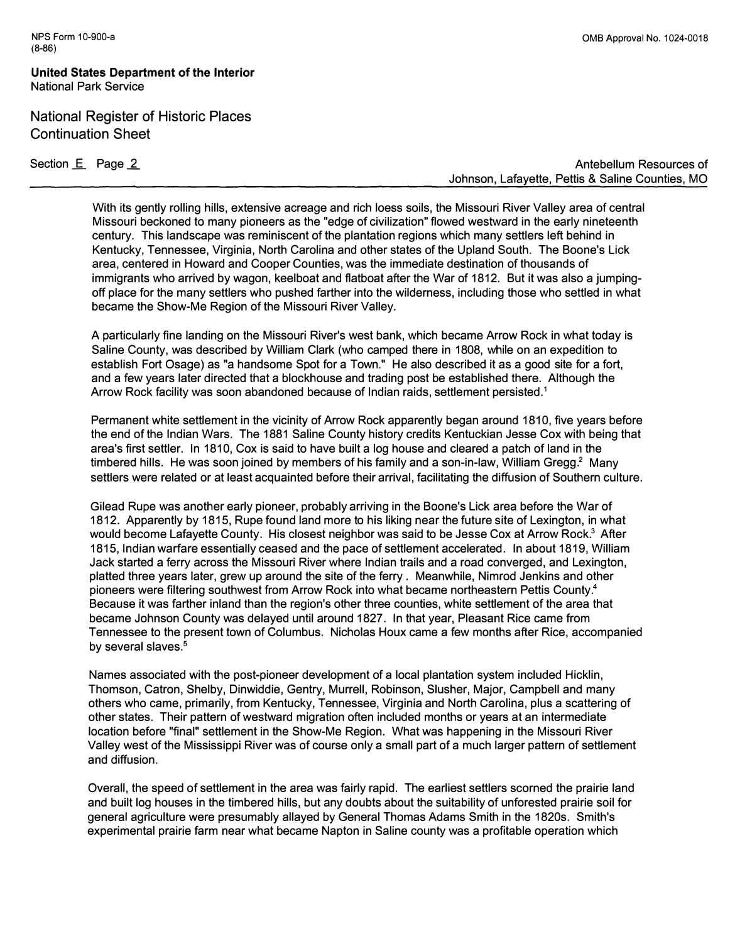## **United States Department of the Interior National Park Service**

# National Register of Historic Places Continuation Sheet

Section E Page 2

**Antebellum Resources of Johnson, Lafayette, Pettis & Saline Counties, MO** 

**With its gently rolling hills, extensive acreage and rich loess soils, the Missouri River Valley area of central Missouri beckoned to many pioneers as the "edge of civilization" flowed westward in the early nineteenth century. This landscape was reminiscent of the plantation regions which many settlers left behind in Kentucky, Tennessee, Virginia, North Carolina and other states of the Upland South. The Boone's Lick area, centered in Howard and Cooper Counties, was the immediate destination of thousands of immigrants who arrived by wagon, keelboat and flatboat after the War of 1812. But it was also a jumpingoff place for the many settlers who pushed farther into the wilderness, including those who settled in what became the Show-Me Region of the Missouri River Valley.** 

**A particularly fine landing on the Missouri River's west bank, which became Arrow Rock in what today is Saline County, was described by William Clark (who camped there in 1808, while on an expedition to establish Fort Osage) as "a handsome Spot for a Town." He also described it as a good site for a fort, and a few years later directed that a blockhouse and trading post be established there. Although the Arrow Rock facility was soon abandoned because of Indian raids, settlement persisted.** <sup>1</sup>

**Permanent white settlement in the vicinity of Arrow Rock apparently began around 1810, five years before the end of the Indian Wars. The 1881 Saline County history credits Kentuckian Jesse Cox with being that area's first settler. In 1810, Cox is said to have built a log house and cleared a patch of land in the timbered hills. He was soon joined by members of his family and a son-in-law, William Gregg.<sup>2</sup>Many settlers were related or at least acquainted before their arrival, facilitating the diffusion of Southern culture.** 

**Gilead Rupe was another early pioneer, probably arriving in the Boone's Lick area before the War of 1812. Apparently by 1815, Rupe found land more to his liking near the future site of Lexington, in what would become Lafayette County. His closest neighbor was said to be Jesse Cox at Arrow Rock.3 After 1815, Indian warfare essentially ceased and the pace of settlement accelerated. In about 1819, William Jack started a ferry across the Missouri River where Indian trails and a road converged, and Lexington, platted three years later, grew up around the site of the ferry . Meanwhile, Nimrod Jenkins and other pioneers were filtering southwest from Arrow Rock into what became northeastern Pettis County.<sup>4</sup> Because it was farther inland than the region's other three counties, white settlement of the area that became Johnson County was delayed until around 1827. In that year, Pleasant Rice came from Tennessee to the present town of Columbus. Nicholas Houx came a few months after Rice, accompanied by several slaves.<sup>5</sup>**

**Names associated with the post-pioneer development of a local plantation system included Hicklin, Thomson, Catron, Shelby, Dinwiddie, Gentry, Murrell, Robinson, Slusher, Major, Campbell and many others who came, primarily, from Kentucky, Tennessee, Virginia and North Carolina, plus a scattering of other states. Their pattern of westward migration often included months or years at an intermediate location before "final" settlement in the Show-Me Region. What was happening in the Missouri River Valley west of the Mississippi River was of course only a small part of a much larger pattern of settlement and diffusion.** 

**Overall, the speed of settlement in the area was fairly rapid. The earliest settlers scorned the prairie land and built log houses in the timbered hills, but any doubts about the suitability of unforested prairie soil for general agriculture were presumably allayed by General Thomas Adams Smith in the 1820s. Smith's experimental prairie farm near what became Napton in Saline county was a profitable operation which**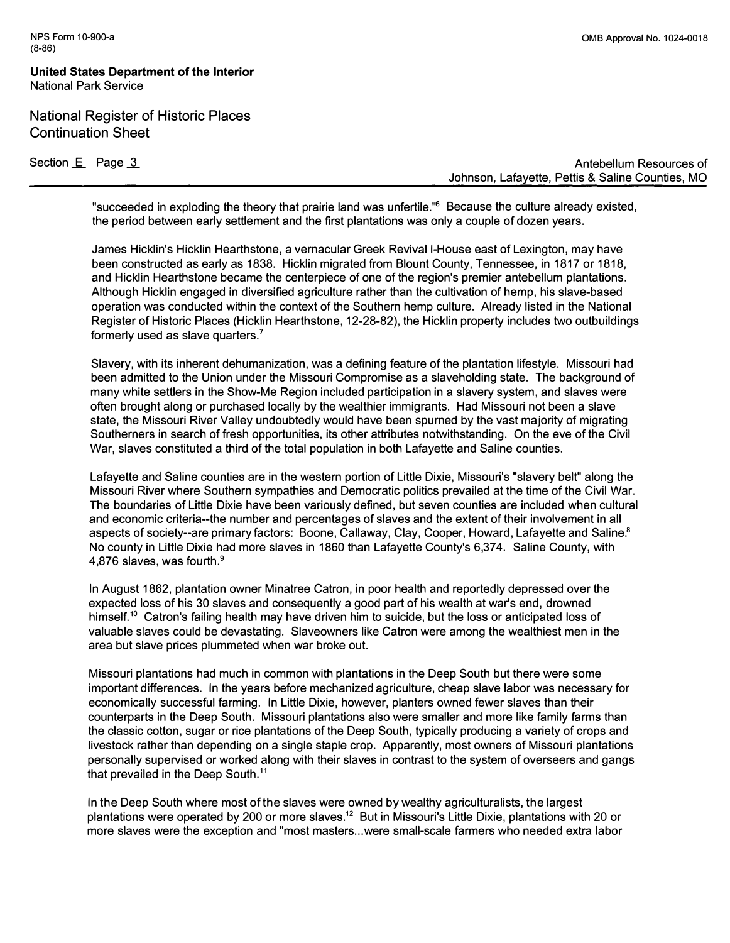**United States Department of the Interior National Park Service** 

**National Register of Historic Places Continuation Sheet** 

Section **E** Page 3

**Antebellum Resources of Johnson, Lafayette, Pettis & Saline Counties, MO** 

**"succeeded in exploding the theory that prairie land was unfertile."**<sup>6</sup>**Because the culture already existed, the period between early settlement and the first plantations was only a couple of dozen years.** 

**James Hicklin's Hicklin Hearthstone, a vernacular Greek Revival I-House east of Lexington, may have been constructed as early as 1838. Hicklin migrated from Blount County, Tennessee, in 1817 or 1818, and Hicklin Hearthstone became the centerpiece of one of the region's premier antebellum plantations. Although Hicklin engaged in diversified agriculture rather than the cultivation of hemp, his slave-based operation was conducted within the context of.the Southern hemp culture. Already listed in the National Register of Historic Places (Hicklin Hearthstone, 12-28-82), the Hicklin property includes two outbuildings formerly used as slave quarters.<sup>7</sup>**

**Slavery, with its inherent dehumanization, was a defining feature of the plantation lifestyle. Missouri had been admitted to the Union under the Missouri Compromise as a slaveholding state. The background of many white settlers in the Show-Me Region included participation in a slavery system, and slaves were often brought along or purchased locally by the wealthier immigrants. Had Missouri not been a slave state, the Missouri River Valley undoubtedly would have been spurned by the vast majority of migrating Southerners in search of fresh opportunities, its other attributes notwithstanding. On the eve of the Civil War, slaves constituted a third of the total population in both Lafayette and Saline counties.** 

**Lafayette and Saline counties are in the western portion of Little Dixie, Missouri's "slavery belt" along the Missouri River where Southern sympathies and Democratic politics prevailed at the time of the Civil War. The boundaries of Little Dixie have been variously defined, but seven counties are included when cultural and economic criteria--the number and percentages of slaves and the extent of their involvement in all aspects of society--are primary factors: Boone, Callaway, Clay, Cooper, Howard, Lafayette and Saline.**<sup>8</sup> **No county in Little Dixie had more slaves in 1860 than Lafayette County's 6,374. Saline County, with 4,876 slaves, was fourth.**<sup>9</sup>

**In August 1862, plantation owner Minatree Catron, in poor health and reportedly depressed over the expected loss of his 30 slaves and consequently a good part of his wealth at war's end, drowned himself.**<sup>1</sup> ° **Catron's failing health may have driven him to suicide, but the loss or anticipated loss of valuable slaves could be devastating. Slaveowners like Catron were among the wealthiest men in the area but slave prices plummeted when war broke out.** 

**Missouri plantations had much in common with plantations in the Deep South but there were some important differences. In the years before mechanized agriculture, cheap slave labor was necessary for economically successful farming. In Little Dixie, however, planters owned fewer slaves than their counterparts in the Deep South. Missouri plantations also were smaller and more like family farms than the classic cotton, sugar or rice plantations of the Deep South, typically producing a variety of crops and livestock rather than depending on a single staple crop. Apparently, most owners of Missouri plantations personally supervised or worked along with their slaves in contrast to the system of overseers and gangs that prevailed in the Deep South.** <sup>11</sup>

**In the Deep South where most of the slaves were owned by wealthy agriculturalists, the largest plantations were operated by 200 or more slaves.**<sup>12</sup>**But in Missouri's Little Dixie, plantations with 20 or more slaves were the exception and "most masters ... were small-scale farmers who needed extra labor**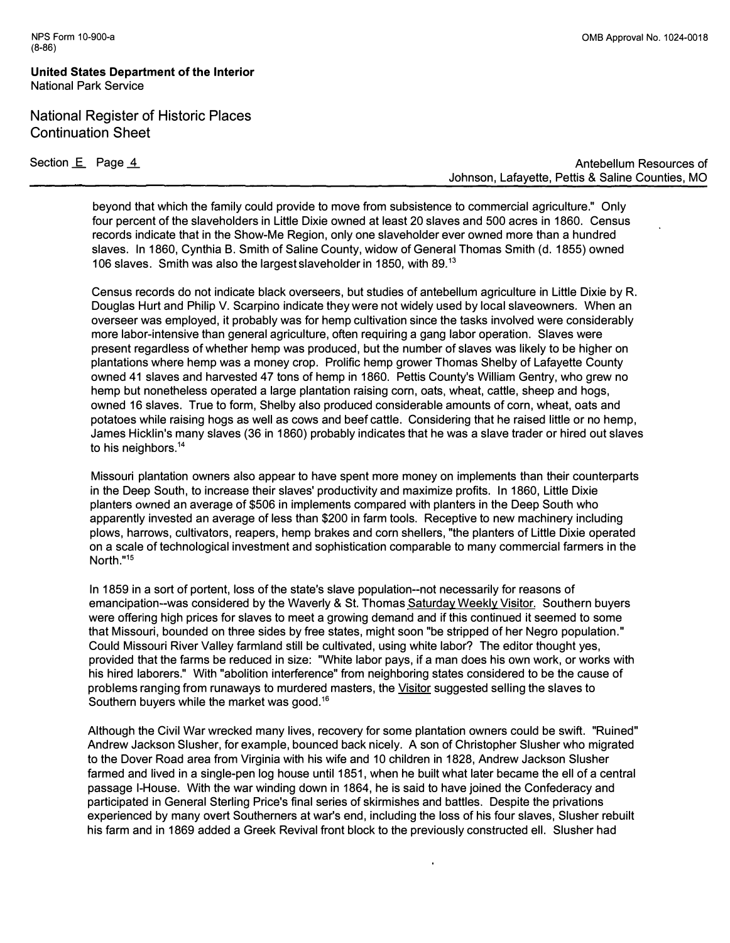## **United States Department of the Interior National Park Service**

## National Register of Historic Places Continuation Sheet

Section **E** Page 4

**Antebellum Resources of Johnson, Lafayette, Pettis & Saline Counties, MO** 

**beyond that which the family could provide to move from subsistence to commercial agriculture." Only four percent of the slaveholders in Little Dixie owned at least 20 slaves and 500 acres in 1860. Census records indicate that in the Show-Me Region, only one slaveholder ever owned more than a hundred slaves. In 1860, Cynthia B. Smith of Saline County, widow of General Thomas Smith (d. 1855) owned 106 slaves. Smith was also the largest slaveholder in 1850, with 89.** <sup>13</sup>

**Census records do not indicate black overseers, but studies of antebellum agriculture in Little Dixie by R. Douglas Hurt and Philip V. Scarpino indicate they were not widely used by local slaveowners. When an overseer was employed, it probably was for hemp cultivation since the tasks involved were considerably more labor-intensive than general agriculture, often requiring a gang labor operation. Slaves were present regardless of whether hemp was produced, but the number of slaves was likely to be higher on plantations where hemp was a money crop. Prolific hemp grower Thomas Shelby of Lafayette County owned 41 slaves and harvested 47 tons of hemp in 1860. Pettis County's William Gentry, who grew no hemp but nonetheless operated a large plantation raising corn, oats, wheat, cattle, sheep and hogs, owned 16 slaves. True to form, Shelby also produced considerable amounts of corn, wheat, oats and potatoes while raising hogs as well as cows and beef cattle. Considering that he raised little or no hemp, James Hicklin's many slaves (36 in 1860) probably indicates that he was a slave trader or hired out slaves to his neighbors.** <sup>14</sup>

**Missouri plantation owners also appear to have spent more money on implements than their counterparts in the Deep South, to increase their slaves' productivity and maximize profits. In 1860, Little Dixie planters owned an average of \$506 in implements compared with planters in the Deep South who apparently invested an average of less than \$200 in farm tools. Receptive to new machinery including plows, harrows, cultivators, reapers, hemp brakes and corn shellers, "the planters of Little Dixie operated on a scale of technological investment and sophistication comparable to many commercial farmers in the North."<sup>15</sup>**

**In 1859 in a sort of portent, loss of the state's slave population--not necessarily for reasons of emancipation--was considered by the Waverly & St. Thomas Saturday Weekly Visitor. Southern buyers were offering high prices for slaves to meet a growing demand and if this continued it seemed to some that Missouri, bounded on three sides by free states, might soon "be stripped of her Negro population." Could Missouri River Valley farmland still be cultivated, using white labor? The editor thought yes, provided that the farms be reduced in size: "White labor pays, if a man does his own work, or works with his hired laborers." With "abolition interference" from neighboring states considered to be the cause of problems ranging from runaways to murdered masters, the Visitor suggested selling the slaves to**  Southern buyers while the market was good.<sup>16</sup>

**Although the Civil War wrecked many lives, recovery for some plantation owners could be swift. "Ruined" Andrew Jackson Slusher, for example, bounced back nicely. A son of Christopher Slusher who migrated to the Dover Road area from Virginia with his wife and 10 children in 1828, Andrew Jackson Slusher farmed and lived in a single-pen log house until 1851, when he built what later became the ell of a central passage I-House. With the war winding down in 1864, he is said to have joined the Confederacy and participated in General Sterling Price's final series of skirmishes and battles. Despite the privations experienced by many** *overt* **Southerners at war's end, including the loss of his four slaves, Slusher rebuilt his farm and in 1869 added a Greek Revival front block to the previously constructed ell. Slusher had**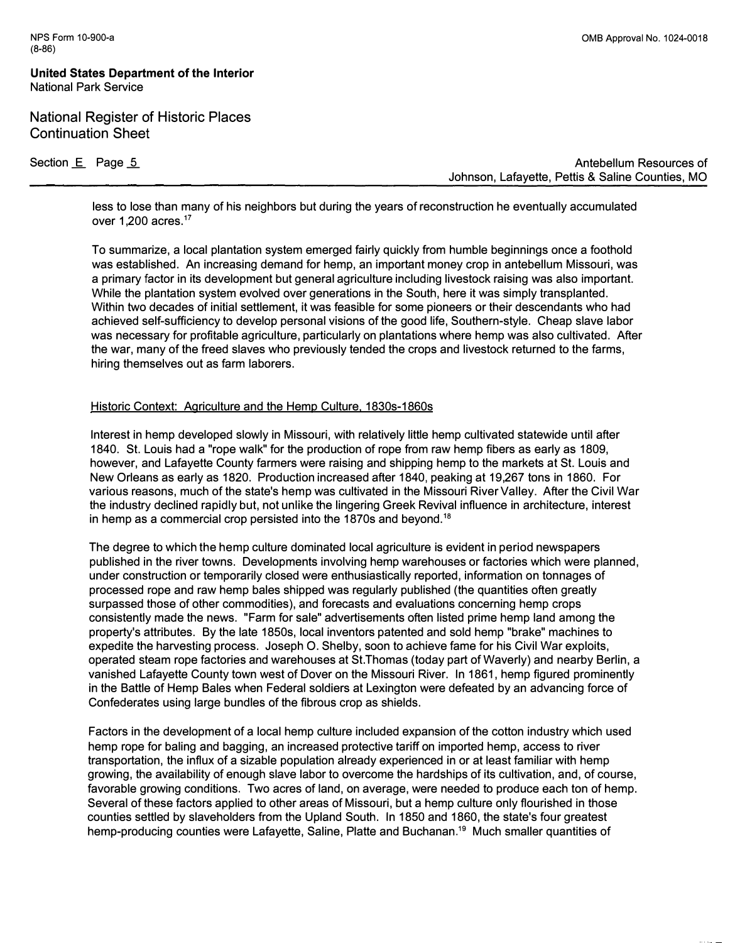**National Register of Historic Places Continuation Sheet** 

Section **E** Page 5

**Antebellum Resources of Johnson, Lafayette, Pettis & Saline Counties, MO** 

**less to lose than many of his neighbors but during the years of reconstruction he eventually accumulated over 1,200 acres.** <sup>17</sup>

**To summarize, a local plantation system emerged fairly quickly from humble beginnings once a foothold was established. An increasing demand for hemp, an important money crop in antebellum Missouri, was a primary factor in its development but general agriculture including livestock raising was also important. While the plantation system evolved over generations in the South, here it was simply transplanted. Within two decades of initial settlement, it was feasible for some pioneers or their descendants who had achieved self-sufficiency to develop personal visions of the good life, Southern-style. Cheap slave labor was necessary for profitable agriculture, particularly on plantations where hemp was also cultivated. After the war, many of the freed slaves who previously tended the crops and livestock returned to the farms, hiring themselves out as farm laborers.** 

## **Historic Context: Agriculture and the Hemp Culture, 1830s-1860s**

**Interest in hemp developed slowly in Missouri, with relatively little hemp cultivated statewide until after 1840. St. Louis had a "rope walk" for the production of rope from raw hemp fibers as early as 1809, however, and Lafayette County farmers were raising and shipping hemp to the markets at St. Louis and New Orleans as early as 1820. Production increased after 1840, peaking at 19,267 tons in 1860. For various reasons, much of the state's hemp was cultivated in the Missouri River Valley. After the Civil War the industry declined rapidly but, not unlike the lingering Greek Revival influence in architecture, interest in hemp as a commercial crop persisted into the 1870s and beyond.** <sup>18</sup>

**The degree to which the hemp culture dominated local agriculture is evident in period newspapers published in the river towns. Developments involving hemp warehouses or factories which were planned, under construction or temporarily closed were enthusiastically reported, information on tonnages of processed rope and raw hemp bales shipped was regularly published (the quantities often greatly surpassed those of other commodities), and forecasts and evaluations concerning hemp crops consistently made the news. "Farm for sale" advertisements often listed prime hemp land among the property's attributes. By the late 1850s, local inventors patented and sold hemp "brake" machines to expedite the harvesting process. Joseph 0. Shelby, soon to achieve fame for his Civil War exploits, operated steam rope factories and warehouses at St.Thomas (today part of Waverly) and nearby Berlin, a vanished Lafayette County town west of Dover on the Missouri River. In 1861, hemp figured prominently in the Battle of Hemp Bales when Federal soldiers at Lexington were defeated by an advancing force of Confederates using large bundles of the fibrous crop as shields.** 

**Factors in the development of a local hemp culture included expansion of the cotton industry which used hemp rope for baling and bagging, an increased protective tariff on imported hemp, access to river transportation, the influx of a sizable population already experienced in or at least familiar with hemp growing, the availability of enough slave labor to overcome the hardships of its cultivation, and, of course, favorable growing conditions. Two acres of land, on average, were needed to produce each ton of hemp. Several of these factors applied to other areas of Missouri, but a hemp culture only flourished in those counties settled by slaveholders from the Upland South. In 1850 and 1860, the state's four greatest hemp-producing counties were Lafayette, Saline, Platte and Buchanan.**19 **Much smaller quantities of**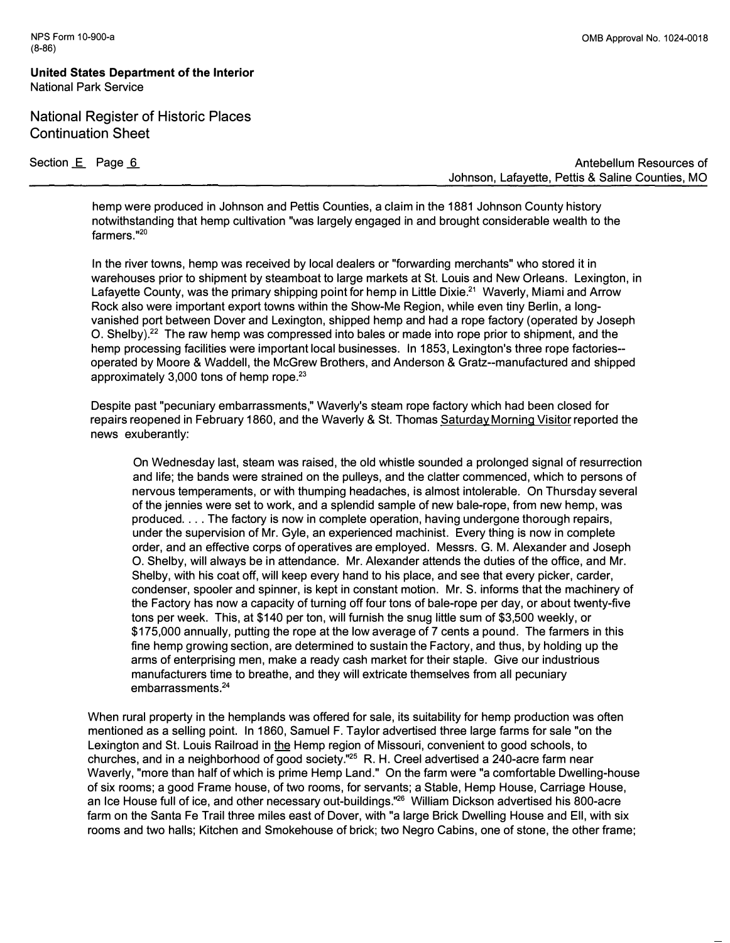**United States Department of the Interior National Park Service** 

**National Register of Historic Places Continuation Sheet** 

**Section E** Page 6 **Antebellum Resources of Antebellum Resources of Antebellum Resources of Johnson, Lafayette, Pettis & Saline Counties, MO** 

**hemp were produced in Johnson and Pettis Counties, a claim in the 1881 Johnson County history notwithstanding that hemp cultivation "was largely engaged in and brought considerable wealth to the farmers. "** 20

**In the river towns, hemp was received by local dealers or "forwarding merchants" who stored it in warehouses prior to shipment by steamboat to large markets at St. Louis and New Orleans. Lexington, in Lafayette County, was the primary shipping point for hemp in Little Dixie.**<sup>21</sup>**Waverly, Miami and Arrow Rock also were important export towns within the Show-Me Region, while even tiny Berlin, a longvanished port between Dover and Lexington, shipped hemp and had a rope factory (operated by Joseph 0. Shelby).**<sup>22</sup>**The raw hemp was compressed into bales or made into rope prior to shipment, and the hemp processing facilities were important local businesses. In 1853, Lexington's three rope factories operated by Moore & Waddell, the McGrew Brothers, and Anderson & Gratz--manufactured and shipped approximately 3,000 tons of hemp rope.<sup>23</sup>**

**Despite past "pecuniary embarrassments," Waverly's steam rope factory which had been closed for repairs reopened in February 1860, and the Waverly & St. Thomas Saturday Morning Visitor reported the news exuberantly:** 

**On Wednesday last, steam was raised, the old whistle sounded a prolonged signal of resurrection and life; the bands were strained on the pulleys, and the clatter commenced, which to persons of nervous temperaments, or with thumping headaches, is almost intolerable. On Thursday several of the jennies were set to work, and a splendid sample of new bale-rope, from new hemp, was produced ... . The factory is now in complete operation, having undergone thorough repairs, under the supervision of Mr. Gyle, an experienced machinist. Every thing is now in complete order, and an effective corps of operatives are employed. Messrs. G. M. Alexander and Joseph 0. Shelby, will always be in attendance. Mr. Alexander attends the duties of the office, and Mr. Shelby, with his coat off, will keep every hand to his place, and see that every picker, carder, condenser, spooler and spinner, is kept in constant motion. Mr. S. informs that the machinery of the Factory has now a capacity of turning off four tons of bale-rope per day, or about twenty-five tons per week. This, at \$140 per ton, will furnish the snug little sum of \$3,500 weekly, or \$175,000 annually, putting the rope at the low average of 7 cents a pound. The farmers in this fine hemp growing section, are determined to sustain the Factory, and thus, by holding up the arms of enterprising men, make a ready cash market for their staple. Give our industrious manufacturers time to breathe, and they will extricate themselves from all pecuniary embarrassments.<sup>24</sup>**

**When rural property in the hemplands was offered for sale, its suitability for hemp production was often mentioned as a selling point. In 1860, Samuel F. Taylor advertised three large farms for sale "on the Lexington and St. Louis Railroad in the Hemp region of Missouri, convenient to good schools, to churches, and in a neighborhood of good society."<sup>25</sup>R. H. Creel advertised a 240-acre farm near Waverly, "more than half of which is prime Hemp Land." On the farm were "a comfortable Dwelling-house of six rooms; a good Frame house, of two rooms, for servants; a Stable, Hemp House, Carriage House, an Ice House full of ice, and other necessary out-buildings."**<sup>26</sup>**William Dickson advertised his 800-acre farm on the Santa Fe Trail three miles east of Dover, with "a large Brick Dwelling House and Ell, with six rooms and two halls; Kitchen and Smokehouse of brick; two Negro Cabins, one of stone, the other frame;**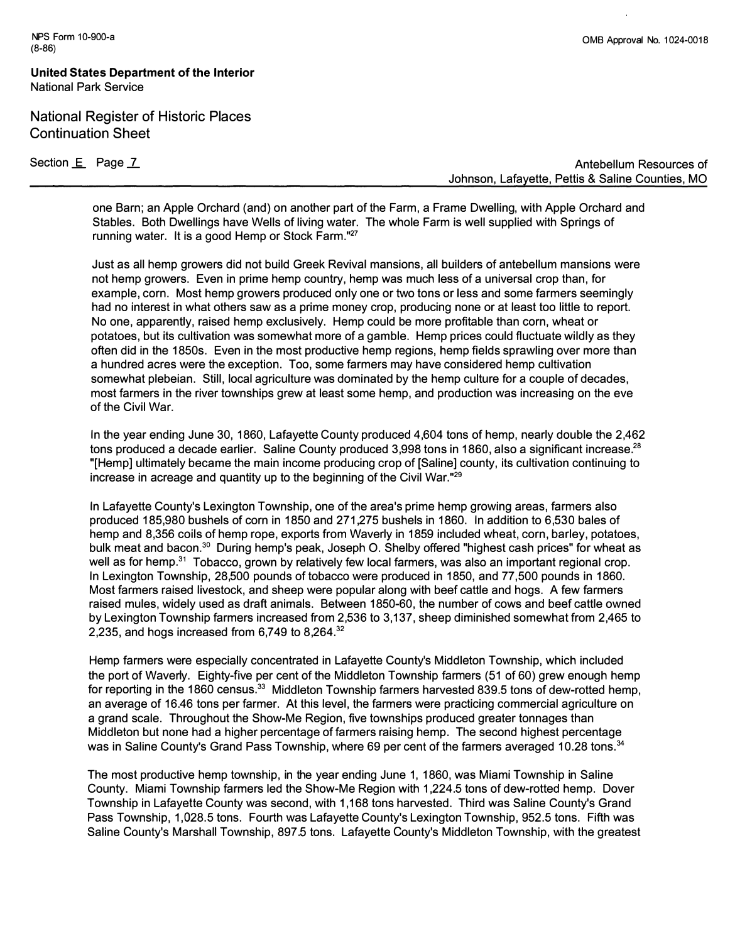**United States Department of the Interior National Park Service** 

**National Register of Historic Places Continuation Sheet** 

**Section £ Page L** 

**Antebellum Resources of Johnson, Lafayette, Pettis & Saline Counties, MO** 

**one Barn; an Apple Orchard (and) on another part of the Farm, a Frame Dwelling, with Apple Orchard and Stables. Both Dwellings have Wells of living water. The whole Farm is well supplied with Springs of running water. It is a good Hemp or Stock Farm."<sup>27</sup>**

**Just as all hemp growers did not build Greek Revival mansions, all builders of antebellum mansions were not hemp growers. Even in prime hemp country, hemp was much less of a universal crop than, for example, corn. Most hemp growers produced only one or two tons or less and some farmers seemingly had no interest in what others saw as a prime money crop, producing none or at least too little to report. No one, apparently, raised hemp exclusively. Hemp could be more profitable than corn, wheat or potatoes, but its cultivation was somewhat more of a gamble. Hemp prices could fluctuate wildly as they often did in the 1850s. Even in the most productive hemp regions, hemp fields sprawling over more than a hundred acres were the exception. Too, some farmers may have considered hemp cultivation somewhat plebeian. Still, local agriculture was dominated by the hemp culture for a couple of decades, most farmers in the river townships grew at least some hemp, and production was increasing on the eve of the Civil War.** 

**In the year ending June 30, 1860, Lafayette County produced 4,604 tons of hemp, nearly double the 2,462 tons produced a decade earlier. Saline County produced 3,998 tons in 1860, also a significant increase.**<sup>28</sup> **"[Hemp] ultimately became the main income producing crop of [Saline] county, its cultivation continuing to increase in acreage and quantity up to the beginning of the Civil War."** 29

**In Lafayette County's Lexington Township, one of the area's prime hemp growing areas, farmers also produced 185,980 bushels of corn in 1850 and 271,275 bushels in 1860. In addition to 6,530 bales of hemp and 8,356 coils of hemp rope, exports from Waverly in 1859 included wheat, corn, barley, potatoes, bulk meat and bacon.**<sup>30</sup>**During hemp's peak, Joseph 0. Shelby offered "highest cash prices" for wheat as well as for hemp.**<sup>31</sup>**Tobacco, grown by relatively few local farmers, was also an important regional crop. In Lexington Township, 28,500 pounds of tobacco were produced in 1850, and 77,500 pounds in 1860. Most farmers raised livestock, and sheep were popular along with beef cattle and hogs. A few farmers raised mules, widely used as draft animals. Between 1850-60, the number of cows and beef cattle owned by Lexington Township farmers increased from 2,536 to 3,137, sheep diminished somewhat from 2,465 to 2,235, and hogs increased from 6,749 to 8,264.**<sup>32</sup>

**Hemp farmers were especially concentrated in Lafayette County's Middleton Township, which included the port of Waverly. Eighty-five per cent of the Middleton Township farmers (51 of 60) grew enough hemp for reporting in the 1860 census.**<sup>33</sup>**Middleton Township farmers harvested 839.5 tons of dew-rotted hemp, an average of 16.46 tons per farmer. At this level, the farmers were practicing commercial agriculture on a grand scale. Throughout the Show-Me Region, five townships produced greater tonnages than Middleton but none had a higher percentage of farmers raising hemp. The second highest percentage was in Saline County's Grand Pass Township, where 69 per cent of the farmers averaged 10.28 tons.**<sup>34</sup>

**The most productive hemp township, in the year ending June 1, 1860, was Miami Township in Saline County. Miami Township farmers led the Show-Me Region with 1,224.5 tons of dew-rotted hemp. Dover Township in Lafayette County was second, with 1,168 tons harvested. Third was Saline County's Grand Pass Township, 1,028.5 tons. Fourth was Lafayette County's Lexington Township, 952.5 tons. Fifth was Saline County's Marshall Township, 897.5 tons. Lafayette County's Middleton Township, with the greatest**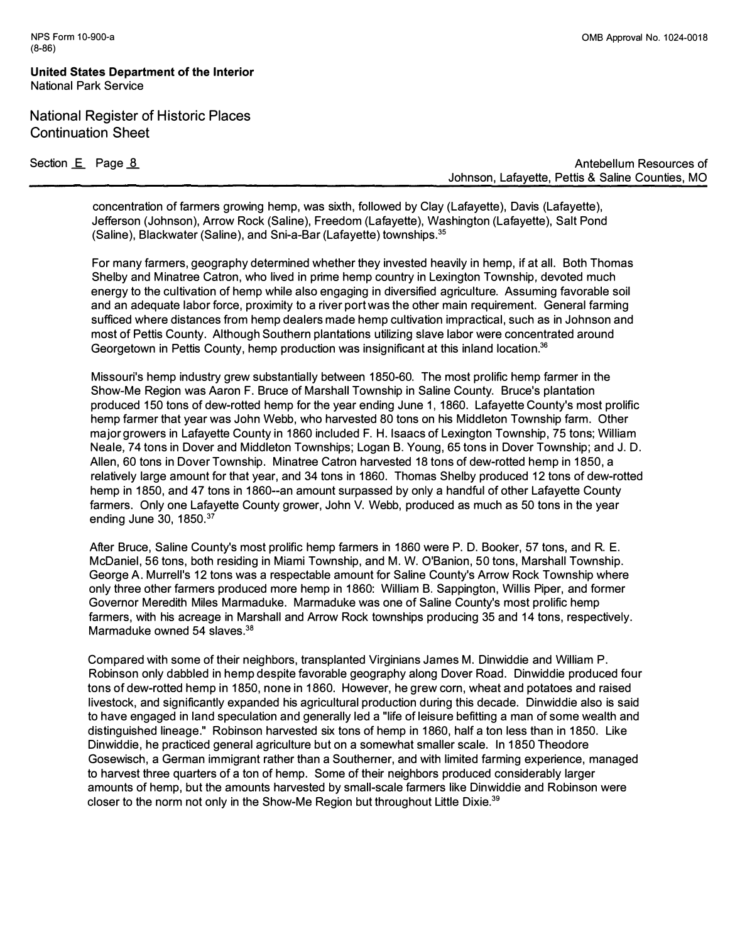**United States Department of the Interior National Park Service** 

# **National Register of Historic Places Continuation Sheet**

Section **E** Page <u>8</u>

**Antebellum Resources of Johnson, Lafayette, Pettis & Saline Counties, MO** 

**concentration of farmers growing hemp, was sixth, followed by Clay (Lafayette), Davis (Lafayette), Jefferson (Johnson), Arrow Rock (Saline), Freedom (Lafayette), Washington (Lafayette), Salt Pond (Saline), Blackwater (Saline), and Sni-a-Bar (Lafayette) townships.<sup>35</sup>**

**For many farmers, geography determined whether they invested heavily in hemp, if at all. Both Thomas Shelby and Minatree Catron, who lived in prime hemp country in Lexington Township, devoted much energy to the cultivation of hemp while also engaging in diversified agriculture. Assuming favorable soil and an adequate labor force, proximity to a river port was the other main requirement. General farming sufficed where distances from hemp dealers made hemp cultivation impractical, such as in Johnson and most of Pettis County. Although Southern plantations utilizing slave labor were concentrated around Georgetown in Pettis County, hemp production was insignificant at this inland location.<sup>36</sup>**

**Missouri's hemp industry grew substantially between 1850-60. The most prolific hemp farmer in the Show-Me Region was Aaron F. Bruce of Marshall Township in Saline County. Bruce's plantation produced 150 tons of dew-rotted hemp for the year ending June 1, 1860. Lafayette County's most prolific hemp farmer that year was John Webb, who harvested 80 tons on his Middleton Township farm. Other major growers in Lafayette County in 1860 included F. H. Isaacs of Lexington Township, 75 tons; William Neale, 74 tons in Dover and Middleton Townships; Logan B. Young, 65 tons in Dover Township; and J. D. Allen, 60 tons in Dover Township. Minatree Catron harvested 18 tons of dew-rotted hemp in 1850, a relatively large amount for that year, and 34 tons in 1860. Thomas Shelby produced 12 tons of dew-rotted**  hemp in 1850, and 47 tons in 1860--an amount surpassed by only a handful of other Lafayette County **farmers. Only one Lafayette County grower, John V. Webb, produced as much as 50 tons in the year ending June 30, 1850.** <sup>37</sup>

**After Bruce, Saline County's most prolific hemp farmers in 1860 were P. D. Booker, 57 tons, and R. E. McDaniel, 56 tons, both residing in Miami Township, and M. W. O'Banion, 50 tons, Marshall Township. George A. Murrell's 12 tons was a respectable amount for Saline County's Arrow Rock Township where only three other farmers produced more hemp in 1860: William B. Sappington, Willis Piper, and former Governor Meredith Miles Marmaduke. Marmaduke was one of Saline County's most prolific hemp farmers, with his acreage in Marshall and Arrow Rock townships producing 35 and 14 tons, respectively. Marmaduke owned 54 slaves.**<sup>38</sup>

**Compared with some of their neighbors, transplanted Virginians James M. Dinwiddie and William P. Robinson only dabbled in hemp despite favorable geography along Dover Road. Dinwiddie produced four tons of dew-rotted hemp in 1850, none in 1860. However, he grew corn, wheat and potatoes and raised livestock, and significantly expanded his agricultural production during this decade. Dinwiddie also is said to have engaged in land speculation and generally led a "life of leisure befitting a man of some wealth and distinguished lineage." Robinson harvested six tons of hemp in 1860, half a ton less than in 1850. Like Dinwiddie, he practiced general agriculture but on a somewhat smaller scale. In 1850 Theodore Gosewisch, a German immigrant rather than a Southerner, and with limited farming experience, managed to harvest three quarters of a ton of hemp. Some of their neighbors produced considerably larger amounts of hemp, but the amounts harvested by small-scale farmers like Dinwiddie and Robinson were closer to the norm not only in the Show-Me Region but throughout Little Dixie.**39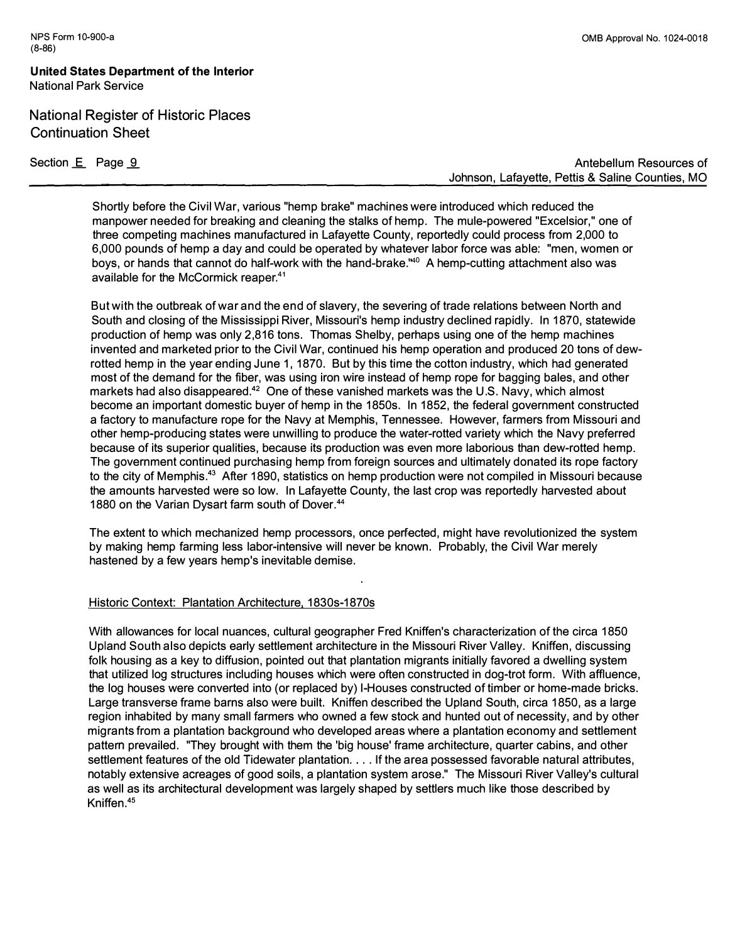# **National Register of Historic Places Continuation Sheet**

Section E Page 9

NPS Form 10-900-a

(8-86)

**Shortly before the Civil War, various "hemp brake" machines were introduced which reduced the manpower needed for breaking and cleaning the stalks of hemp. The mule-powered "Excelsior," one of three competing machines manufactured in Lafayette County, reportedly could process from 2,000 to 6,000 pounds of hemp a day and could be operated by whatever labor force was able: "men, women or boys, or hands that cannot do half-work with the hand-brake.'**<sup>140</sup>**A hemp-cutting attachment also was available for the McCormick reaper.<sup>41</sup>**

**But with the outbreak of war and the end of slavery, the severing of trade relations between North and South and closing of the Mississippi River, Missouri's hemp industry declined rapidly. In 1 870, statewide production of hemp was only 2,816 tons. Thomas Shelby, perhaps using one of the hemp machines invented and marketed prior to the Civil War, continued his hemp operation and produced 20 tons of dew**rotted hemp in the year ending June 1, 1870. But by this time the cotton industry, which had generated **most of the demand for the fiber, was using iron wire instead of hemp rope for bagging bales, and other markets had also disappeared.<sup>42</sup>One of these vanished markets was the U.S. Navy, which almost become an important domestic buyer of hemp in the 1 850s. In 1 852, the federal government constructed a factory to manufacture rope for the Navy at Memphis, Tennessee. However, farmers from Missouri and other hemp-producing states were unwilling to produce the water-rotted variety which the Navy preferred because of its superior qualities, because its production was even more laborious than dew-rotted hemp. The government continued purchasing hemp from foreign sources and ultimately donated its rope factory to the city of Memphis.<sup>43</sup>After 1 890, statistics on hemp production were not compiled in Missouri because the amounts harvested were so low. In Lafayette County, the last crop was reportedly harvested about 1 880 on the Varian Dysart farm south of Dover.<sup>44</sup>**

**The extent to which mechanized hemp processors, once perfected, might have revolutionized the system by making hemp farming less labor-intensive will never be known. Probably, the Civil War merely hastened by a few years hemp's inevitable demise.** 

## **Historic Context: Plantation Architecture. 1830s-1870s**

**With allowances for local nuances, cultural geographer Fred Kniffen's characterization of the circa 1 850 Upland South also depicts early settlement architecture in the Missouri River Valley. Kniffen, discussing folk housing as a key to diffusion, pointed out that plantation migrants initially favored a dwelling system that utilized log structures including houses which were often constructed in dog-trot form. With affluence, the log houses were converted into ( or replaced by) I-Houses constructed of timber or home-made bricks. Large transverse frame barns also were built. Kniffen described the Upland South, circa 1 850, as a large region inhabited by many small farmers who owned a few stock and hunted out of necessity, and by other migrants from a plantation background who developed areas where a plantation economy and settlement pattern prevailed. "They brought with them the 'big house' frame architecture, quarter cabins, and other settlement features of the old Tidewater plantation .... If the area possessed favorable natural attributes, notably extensive acreages of good soils, a plantation system arose." The Missouri River Valley's cultural as well as its architectural development was largely shaped by settlers much like those described by Kniffen.<sup>45</sup>**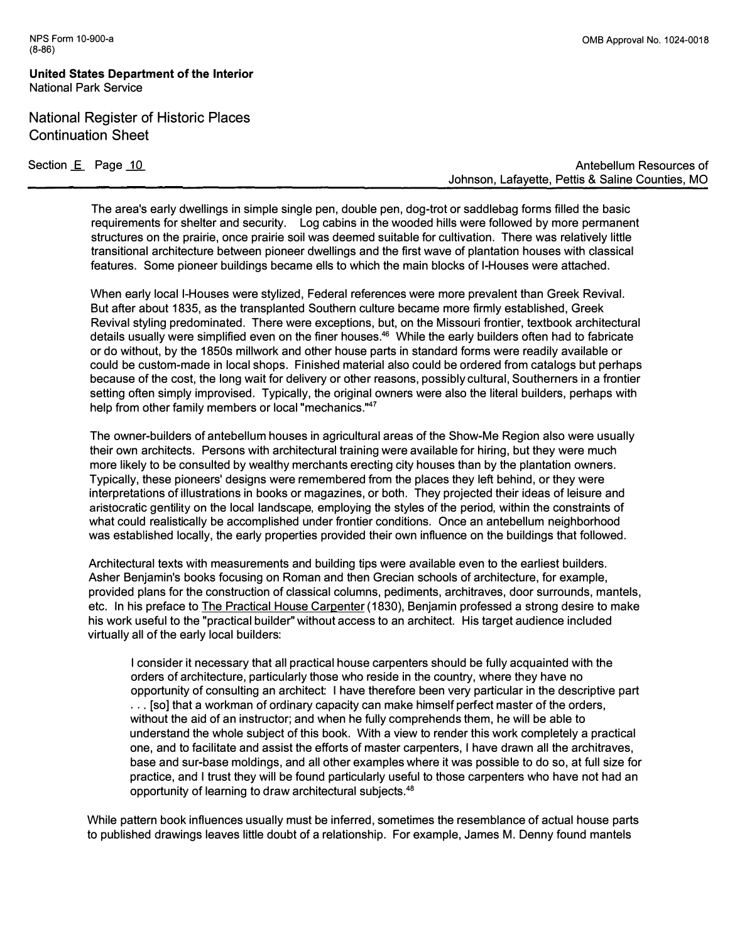**United States Department of the Interior National Park Service** 

National Register of Historic Places Continuation Sheet

Section E Page 10 **Section 2.0 Antebellum Resources of Section 2.0 Antebellum Resources of Antebellum Resources of Johnson, Lafayette, Pettis & Saline Counties, MO** 

**The area's early dwellings in simple single pen, double pen, dog-trot or saddlebag forms filled the basic requirements for shelter and security. Log cabins in the wooded hills were followed by more permanent structures on the prairie, once prairie soil was deemed suitable for cultivation. There was relatively little transitional architecture between pioneer dwellings and the first wave of plantation houses with classical features. Some pioneer buildings became ells to which the main blocks of I-Houses were attached.** 

**When early local I-Houses were stylized, Federal references were more prevalent than Greek Revival. But after about 1835, as the transplanted Southern culture became more firmly established, Greek Revival styling predominated. There were exceptions, but, on the Missouri frontier, textbook architectural details usually were simplified even on the finer houses.**<sup>46</sup>**While the early builders often had to fabricate or do without, by the 1850s millwork and other house parts in standard forms were readily available or could be custom-made in local shops. Finished material also could be ordered from catalogs but perhaps because of the cost, the long wait for delivery or other reasons, possibly cultural, Southerners in a frontier setting often simply improvised. Typically, the original owners were also the literal builders, perhaps with help from other family members or local "mechanics. "** 47

**The owner-builders of antebellum houses in agricultural areas of the Show-Me Region also were usually their own architects. Persons with architectural training were available for hiring, but they were much more likely to be consulted by wealthy merchants erecting city houses than by the plantation owners. Typically, these pioneers' designs were remembered from the places they left behind, or they were interpretations of illustrations in books or magazines, or both. They projected their ideas of leisure and aristocratic gentility on the local landscape, employing the styles of the period, within the constraints of what could realistically be accomplished under frontier conditions. Once an antebellum neighborhood was established locally, the early properties provided their own influence on the buildings that followed.** 

**Architectural texts with measurements and building tips were available even to the earliest builders. Asher Benjamin's books focusing on Roman and then Grecian schools of architecture, for example, provided plans for the construction of classical columns, pediments, architraves, door surrounds, mantels, etc. In his preface to The Practical House Carpenter (1830), Benjamin professed a strong desire to make his work useful to the "practical builder" without access to an architect. His target audience included virtually all of the early local builders:** 

**I consider it necessary that all practical house carpenters should be fully acquainted with the orders of architecture, particularly those who reside in the country, where they have no opportunity of consulting an architect: I have therefore been very particular in the descriptive part . . . [so] that a workman of ordinary capacity can make himself perfect master of the orders, without the aid of an instructor; and when he fully comprehends them, he will be able to understand the whole subject of this book. With a view to render this work completely a practical one, and to facilitate and assist the efforts of master carpenters, I have drawn all the architraves, base and sur-base moldings, and all other examples where it was possible to do so, at full size for practice, and I trust they will be found particularly useful to those carpenters who have not had an opportunity of learning to draw architectural subjects.**<sup>48</sup>

**While pattern book influences usually must be inferred, sometimes the resemblance of actual house parts to published drawings leaves little doubt of a relationship. For example, James M. Denny found mantels**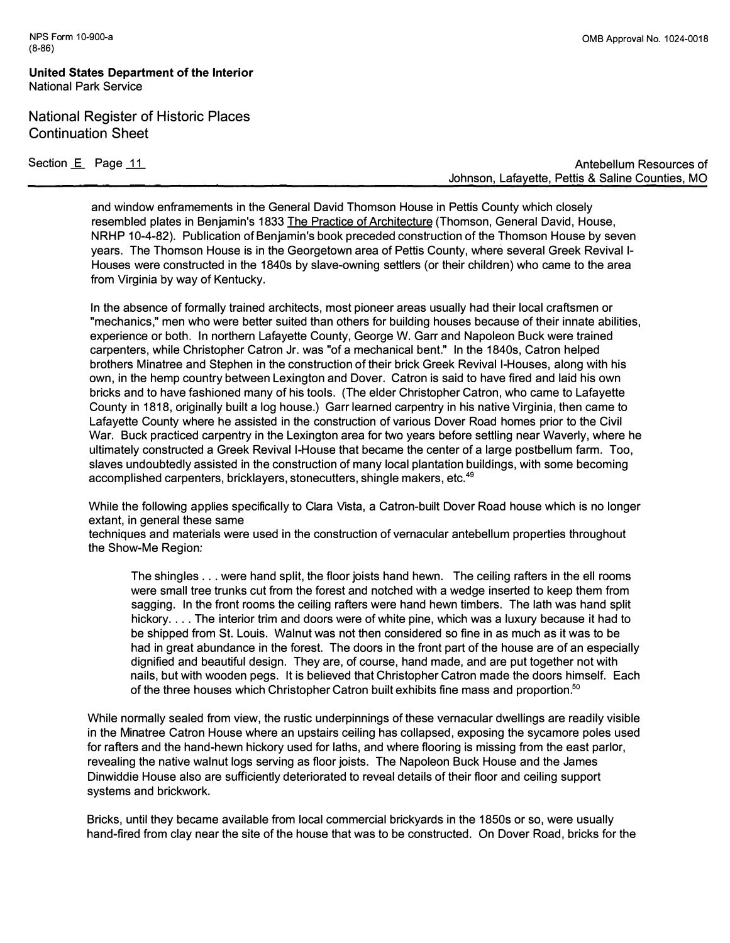**United States Department of the Interior National Park Service** 

**National Register of Historic Places Continuation Sheet** 

**Section E** Page 11 **Antebellum Resources of Antebellum Resources of Antebellum Resources of Johnson, Lafayette, Pettis & Saline Counties, MO** 

**and window enframements in the General David Thomson House in Pettis County which closely resembled plates in Benjamin's 1833 The Practice of Architecture (Thomson, General David, House, NRHP 10-4-82). Publication of Benjamin's book preceded construction of the Thomson House by seven years. The Thomson House is in the Georgetown area of Pettis County, where several Greek Revival I-Houses were constructed in the 1840s by slave-owning settlers (or their children) who came to the area from Virginia by way of Kentucky.** 

**In the absence of formally trained architects, most pioneer areas usually had their local craftsmen or "mechanics," men who were better suited than others for building houses because of their innate abilities, experience or both. In northern Lafayette County, George W. Garr and Napoleon Buck were trained carpenters, while Christopher Catron Jr. was "of a mechanical bent." In the 1840s, Catron helped brothers Minatree and Stephen in the construction of their brick Greek Revival I-Houses, along with his own, in the hemp country between Lexington and Dover. Catron is said to have fired and laid his own bricks and to have fashioned many of his tools. (The elder Christopher Catron, who came to Lafayette County in 1818, originally built a log house.) Garr learned carpentry in his native Virginia, then came to Lafayette County where he assisted in the construction of various Dover Road homes prior to the Civil War. Buck practiced carpentry in the Lexington area for two years before settling near Waverly, where he ultimately constructed a Greek Revival I-House that became the center of a large postbellum farm. Too, slaves undoubtedly assisted in the construction of many local plantation buildings, with some becoming accomplished carpenters, bricklayers, stonecutters, shingle makers, etc.**<sup>49</sup>

**While the following applies specifically to Clara Vista, a Catron-built Dover Road house which is no longer extant, in general these same** 

**techniques and materials were used in the construction of vernacular antebellum properties throughout the Show-Me Region:** 

**The shingles ... were hand split, the floor joists hand hewn. The ceiling rafters in the ell rooms were small tree trunks cut from the forest and notched with a wedge inserted to keep them from sagging. In the front rooms the ceiling rafters were hand hewn timbers. The lath was hand split hickory .... The interior trim and doors were of white pine, which was a luxury because it had to be shipped from St. Louis. Walnut was not then considered so fine in as much as it was to be had in great abundance in the forest. The doors in the front part of the house are of an especially dignified and beautiful design. They are, of course, hand made, and are put together not with nails, but with wooden pegs. It is believed that Christopher Catron made the doors himself. Each of the three houses which Christopher Catron built exhibits fine mass and proportion.**<sup>50</sup>

**While normally sealed from view, the rustic underpinnings of these vernacular dwellings are readily visible in the Minatree Catron House where an upstairs ceiling has collapsed, exposing the sycamore poles used for rafters and the hand-hewn hickory used for laths, and where flooring is missing from the east parlor, revealing the native walnut logs serving as floor joists. The Napoleon Buck House and the James Dinwiddie House also are sufficiently deteriorated to reveal details of their floor and ceiling support systems and brickwork.** 

**Bricks, until they became available from local commercial brickyards in the 1850s or so, were usually hand-fired from clay near the site of the house that was to be constructed. On Dover Road, bricks for the**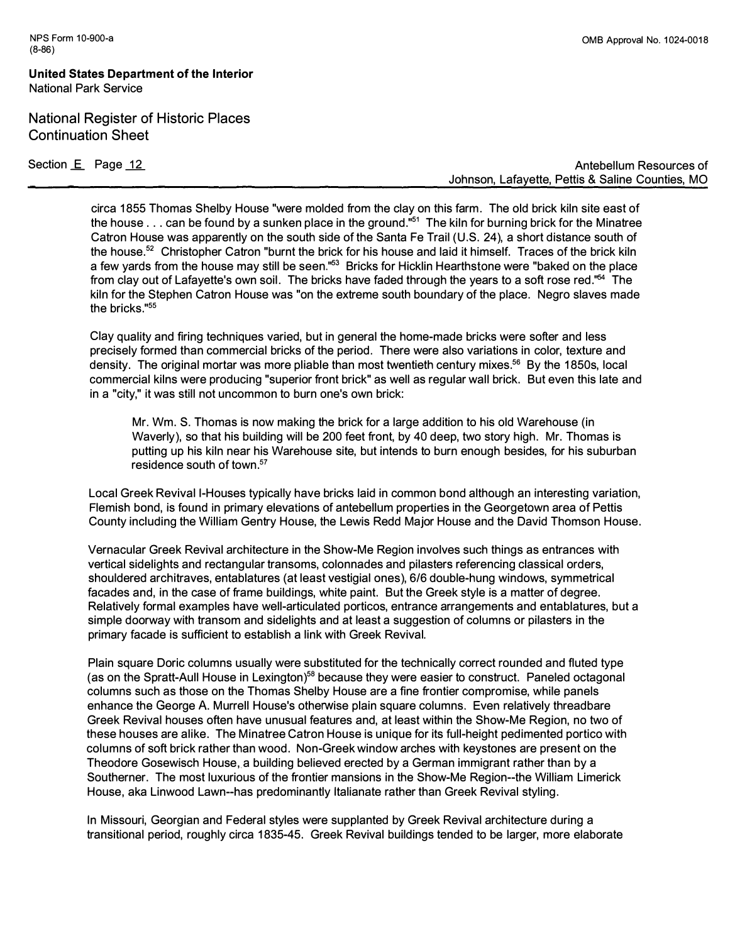**United States Department of the Interior National Park Service** 

**National Register of Historic Places Continuation Sheet** 

Section E Page 12

**Antebellum Resources of Johnson, Lafayette, Pettis & Saline Counties, MO** 

**circa 1855 Thomas Shelby House "were molded from the clay on this farm. The old brick kiln site east of the house ... can be found by a sunken place in the ground."<sup>5</sup><sup>1</sup>The kiln for burning brick for the Minatree Catron House was apparently on the south side of the Santa Fe Trail (U.S. 24), a short distance south of the house.<sup>5</sup><sup>2</sup>Christopher Catron "burnt the brick for his house and laid it himself. Traces of the brick kiln a few yards from the house may still be seen."<sup>53</sup>Bricks for Hicklin Hearthstone were "baked on the place from clay out of Lafayette's own soil. The bricks have faded through the years to a soft rose red."**<sup>54</sup>**The kiln for the Stephen Catron House was "on the extreme south boundary of the place. Negro slaves made the bricks."<sup>55</sup>**

**Clay quality and firing techniques varied, but in general the home-made bricks were softer and less precisely formed than commercial bricks of the period. There were also variations in color, texture and density. The original mortar was more pliable than most twentieth century mixes.<sup>5</sup><sup>6</sup>By the 1850s, local commercial kilns were producing "superior front brick" as well as regular wall brick. But even this late and in a "city," it was still not uncommon to burn one's own brick:** 

**Mr. Wm. S. Thomas is now making the brick for a large addition to his old Warehouse (in Waverly), so that his building will be 200 feet front, by 40 deep, two story high. Mr. Thomas is putting up his kiln near his Warehouse site, but intends to burn enough besides, for his suburban residence south of town.**<sup>57</sup>

**Local Greek Revival I-Houses typically have bricks laid in common bond although an interesting variation, Flemish bond, is found in primary elevations of antebellum properties in the Georgetown area of Pettis County including the William Gentry House, the Lewis Redd Major House and the David Thomson House.** 

**Vernacular Greek Revival architecture in the Show-Me Region involves such things as entrances with vertical sidelights and rectangular transoms, colonnades and pilasters referencing classical orders, shouldered architraves, entablatures (at least vestigial ones), 6/6 double-hung windows, symmetrical facades and, in the case of frame buildings, white paint. But the Greek style is a matter of degree. Relatively formal examples have well-articulated porticos, entrance arrangements and entablatures, but a simple doorway with transom and sidelights and at least a suggestion of columns or pilasters in the primary facade is sufficient to establish a link with Greek Revival.** 

**Plain square Doric columns usually were substituted for the technically correct rounded and fluted type (as on the Spratt-Aull House in Lexington)<sup>58</sup>because they were easier to construct. Paneled octagonal columns such as those on the Thomas Shelby House are a fine frontier compromise, while panels enhance the George A. Murrell House's otherwise plain square columns. Even relatively threadbare Greek Revival houses often have unusual features and, at least within the Show-Me Region, no two of these houses are alike. The Minatree Catron House is unique for its full-height pedimented portico with columns of soft brick rather than wood. Non-Greek window arches with keystones are present on the Theodore Gosewisch House,,a building believed erected by a German immigrant rather than by a Southerner. The most luxurious of the frontier mansions in the Show-Me Region--the William Limerick House, aka Linwood Lawn--has predominantly Italianate rather than Greek Revival styling.** 

**In Missouri, Georgian and Federal styles were supplanted by Greek Revival architecture during a transitional period, roughly circa 1835-45. Greek Revival buildings tended to be larger, more elaborate**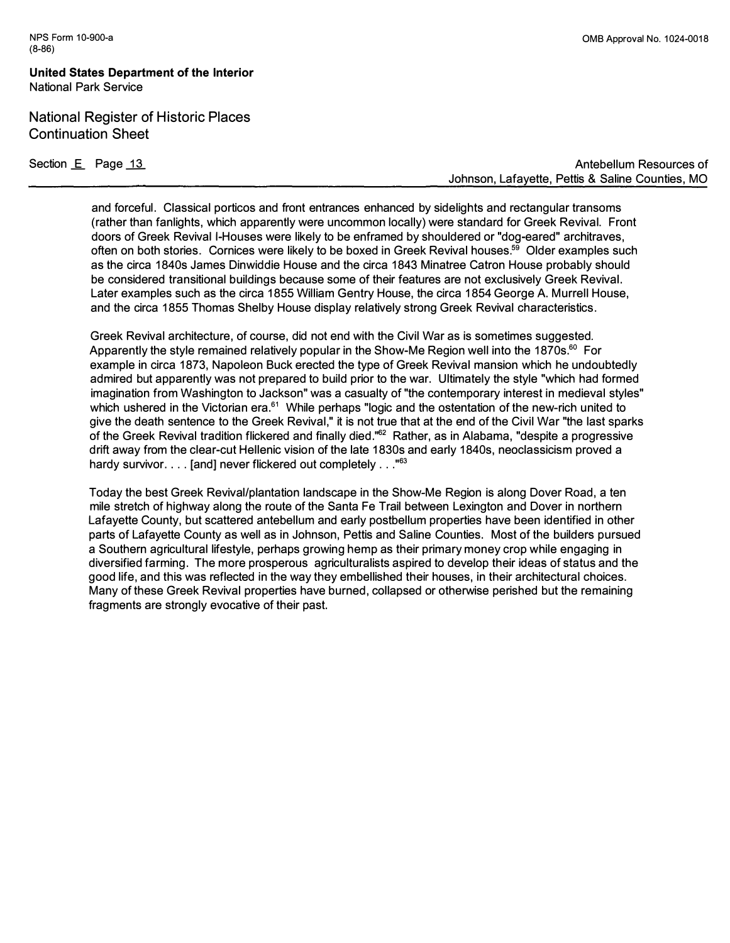**United States Department of the Interior National Park Service** 

**National Register of Historic Places Continuation Sheet** 

**Section <u>E</u>** Page 13

**Antebellum Resources of Johnson, Lafayette, Pettis & Saline Counties, MO** 

**and forceful. Classical porticos and front entrances enhanced by sidelights and rectangular transoms (rather than fanlights, which apparently were uncommon locally) were standard for Greek Revival. Front doors of Greek Revival I-Houses were likely to be enframed by shouldered or "dog-eared" architraves, often on both stories. Cornices were likely to be boxed in Greek Revival houses.<sup>59</sup>Older examples such as the circa 1840s James Dinwiddie House and the circa 1843 Minatree Catron House probably should be considered transitional buildings because some of their features are not exclusively Greek Revival. Later examples such as the circa 1855 William Gentry House, the circa 1854 George A. Murrell House, and the circa 1855 Thomas Shelby House display relatively strong Greek Revival characteristics.** 

**Greek Revival architecture, of course, did not end with the Civil War as is sometimes suggested. Apparently the style remained relatively popular in the Show-Me Region well into the 1870s.**<sup>6</sup> ° **For example in circa 1873, Napoleon Buck erected the type of Greek Revival mansion which he undoubtedly admired but apparently was not prepared to build prior to the war. Ultimately the style "which had formed imagination from Washington to Jackson" was a casualty of "the contemporary interest in medieval styles" which ushered in the Victorian era.**<sup>61</sup>**While perhaps "logic and the ostentation of the new-rich united to give the death sentence to the Greek Revival," it is not true that at the end of the Civil War "the last sparks of the Greek Revival tradition flickered and finally died."<sup>62</sup>Rather, as in Alabama, "despite a progressive drift away from the clear-cut Hellenic vision of the late 1830s and early 1840s, neoclassicism proved a hardy survivor ... . [and] never flickered out completely ... " 63** 

**Today the best Greek Revival/plantation landscape in the Show-Me Region is along Dover Road, a ten mile stretch of highway along the route of the Santa Fe Trail between Lexington and Dover in northern Lafayette County, but scattered antebellum and early postbellum properties have been identified in other parts of Lafayette County as well as in Johnson, Pettis and Saline Counties. Most of the builders pursued a Southern agricultural lifestyle, perhaps growing hemp as their primary money crop while engaging in diversified farming. The more prosperous agriculturalists aspired to develop their ideas of status and the good life, and this was reflected in the way they embellished their houses, in their architectural choices. Many of these Greek Revival properties have burned, collapsed or otherwise perished but the remaining fragments are strongly evocative of their past.**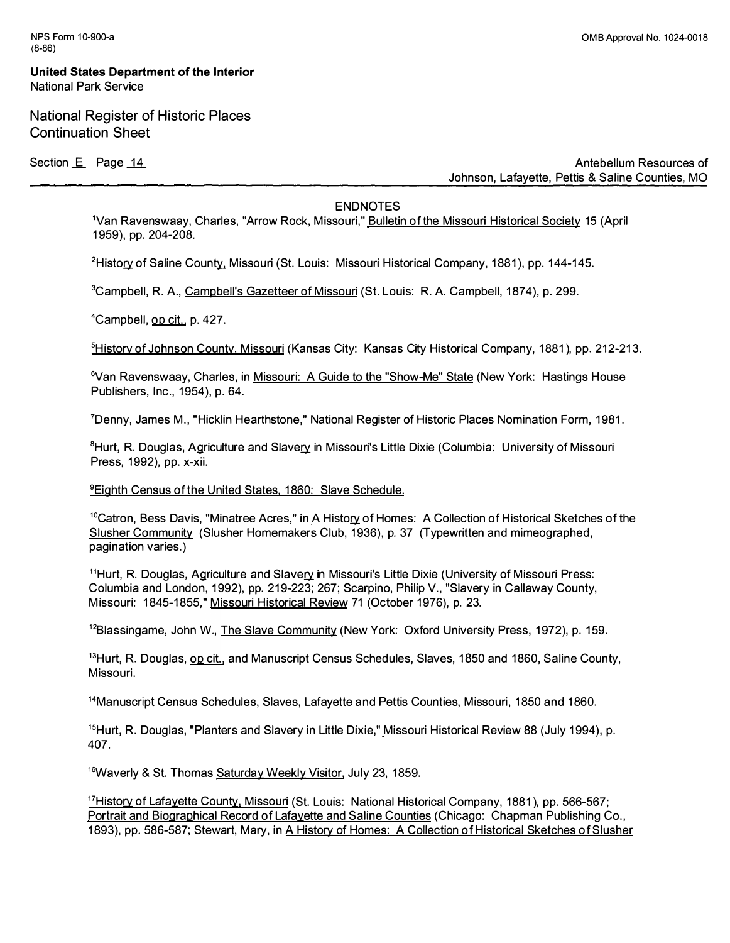National Register of Historic Places Continuation Sheet

Section **E** Page 14

**Antebellum Resources of Johnson, Lafayette, Pettis & Saline Counties, MO** 

#### **ENDNOTES**

**1Van Ravenswaay, Charles, "Arrow Rock, Missouri," Bulletin of the Missouri Historical Society 15 (April 1 959), pp. 204-208.** 

<sup>2</sup>**History of Saline County, Missouri (St. Louis: Missouri Historical Company, 1 881 ), pp. 1 44-1 45.** 

<sup>3</sup> Campbell, R. A., Campbell's Gazetteer of Missouri (St. Louis: R. A. Campbell, 1874), p. 299.

<sup>4</sup>**Campbel l, op cit. , p. 427.** 

**5History of Johnson County, Missouri (Kansas City: Kansas City Historical Company, 1881), pp. 212-213.** 

<sup>6</sup>**Van Ravenswaay, Charles, in Missouri: A Guide to the "Show-Me" State (New York: Hastings House Publishers, Inc., 1 954), p. 64.** 

<sup>7</sup>**Denny, James M., "Hicklin Hearthstone," National Register of Historic Places Nomination Form, 1 981 .** 

<sup>8</sup>**Hurt, R. Douglas, Agriculture and Slavery in Missouri's Little Dixie (Columbia: University of Missouri Press, 1 992), pp. x-xii.** 

#### <sup>9</sup>**Eighth Census of the United States. 1 860: Slave Schedule.**

<sup>10</sup>**Catron, Bess Davis, "Minatree Acres," in A History of Homes: A Collection of Historical Sketches of the**  Slusher Community (Slusher Homemakers Club, 1936), p. 37 (Typewritten and mimeographed, **pagination varies.)** 

1 1**Hurt, R. Douglas, Agriculture and** *Slavery* **in Missouri's Little Dixie (University of Missouri Press: Columbia and London, 1 992), pp. 21 9-223; 267; Scarpino, Philip V. , "Slavery in Callaway County,**  Missouri: 1845-1855," Missouri Historical Review 71 (October 1976), p. 23.

<sup>12</sup>**Blassingame, John W., The** *Slave* **Community (New York: Oxford University Press, 1 972), p. 1 59.** 

**<sup>13</sup>Hurt, R. Douglas, op cit. , and Manuscript Census Schedules, Slaves, 1 850 and 1 860, Saline County, Missouri.** 

**<sup>14</sup>Manuscript Census Schedules, Slaves, Lafayette and Pettis Counties, Missouri, 1 850 and 1 860.** 

<sup>15</sup> Hurt, R. Douglas, "Planters and Slavery in Little Dixie," Missouri Historical Review 88 (July 1994), p. **407.** 

<sup>16</sup> Waverly & St. Thomas Saturday Weekly Visitor, July 23, 1859.

<sup>17</sup> History of Lafayette County, Missouri (St. Louis: National Historical Company, 1881), pp. 566-567; **Portrait and Biographical Record of Lafayette and Saline Counties (Chicago: Chapman Publishing Co., 1 893), pp. 586-587; Stewart, Mary, in A History of Homes: A Collection of Historical Sketches of Slusher**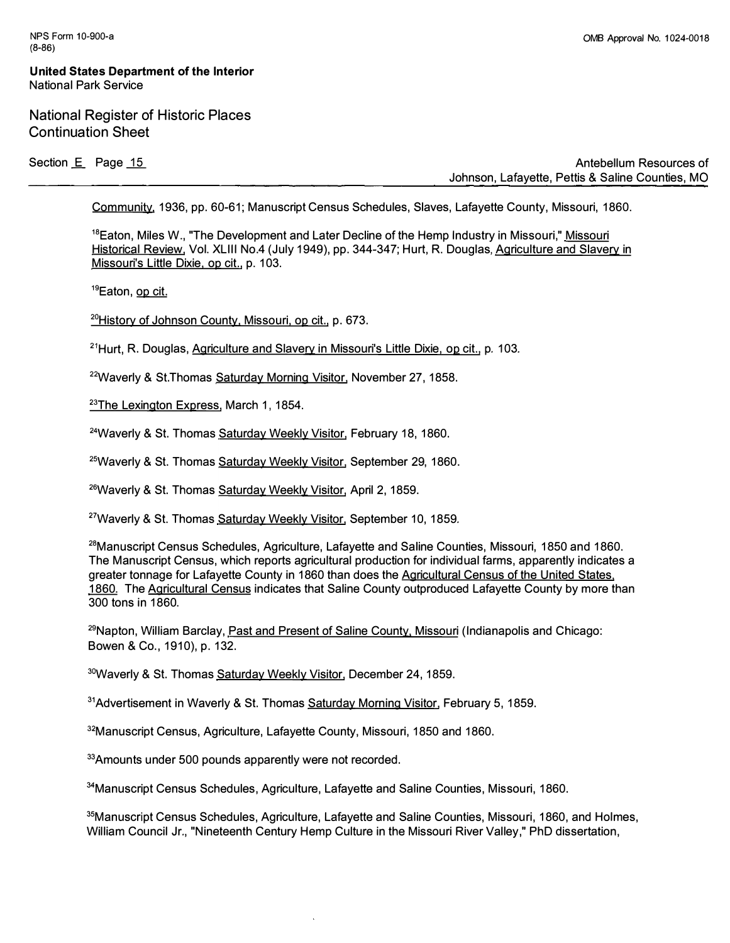**United States Department of the Interior National Park Service** 

**National Register of Historic Places Continuation Sheet** 

Section E Page 15 **Contract Contract Contract Contract Contract Contract Contract Contract Contract Contract Contract Contract Contract Contract Contract Contract Contract Contract Contract Contract Contract Contract Contr Johnson, Lafayette, Pettis & Saline Counties, MO** 

**Community. 1936, pp. 60-61; Manuscript Census Schedules, Slaves, Lafayette County, Missouri, 1860.** 

**<sup>1</sup> <sup>8</sup>Eaton, Miles W., "The Development and Later Decline of the Hemp Industry in Missouri," Missouri Historical Review, Vol. XLIII No.4 (July 1949), pp. 344-347; Hurt, R. Douglas, Agriculture and Slavery in Missouri's Little Dixie, op cit., p. 103.** 

**<sup>1</sup> <sup>9</sup>Eaton, op cit.** 

**<sup>20</sup>History of Johnson County, Missouri, op cit., p. 673.** 

<sup>21</sup>**Hurt, R. Douglas, Agriculture and Slavery in Missouri's Little Dixie, op cit., p. 103.** 

**<sup>22</sup>Waverly & St.Thomas Saturday Morning Visitor, November 27, 1858.** 

**<sup>23</sup>The Lexington Express, March 1, 1854.** 

<sup>24</sup>**Waverly & St. Thomas Saturday Weekly Visitor, February 18, 1860.** 

<sup>25</sup>**Waverly & St. Thomas Saturday Weekly Visitor, September 29, 1860.** 

<sup>26</sup>**Waverly & St. Thomas Saturday Weekly Visitor, April 2, 1859.** 

**<sup>27</sup>Waverly & St. Thomas Saturday Weekly Visitor, September 10, 1859.** 

<sup>28</sup>**Manuscript Census Schedules, Agricultur<sup>e</sup>, Lafayette and Saline Counties, Missouri, 1850** *a***nd 1860.**  The Manuscript Census, which reports agricultural production for individual farms, apparently indicates a greater tonnage for Lafayette County in 1860 than does the Agricultural Census of the United States, 1860. The Agricultural Census indicates that Saline County outproduced Lafayette County by more than **300 t***o***ns in 1860.** 

<sup>29</sup>Napton, William Barclay, Past and Present of Saline County, Missouri (Indianapolis and Chicago: **B***o***wen & C***o***., 1910), p. 132.** 

<sup>30</sup>Waverly & St. Thomas Saturday Weekly Visitor, December 24, 1859.

<sup>31</sup>Advertisement in Waverly & St. Thomas Saturday Morning Visitor, February 5, 1859.

<sup>32</sup>Manuscript Census, Agriculture, Lafayette County, Missouri, 1850 and 1860.

33 Amounts under 500 pounds apparently were not recorded.

<sup>34</sup>Manuscript Census Schedules, Agriculture, Lafayette and Saline Counties, Missouri, 1860.

<sup>35</sup>Manuscript Census Schedules, Agriculture, Lafayette and Saline Counties, Missouri, 1860, and Holmes, William Council Jr., "Nineteenth Century Hemp Culture in the Missouri River Valley," PhD dissertation,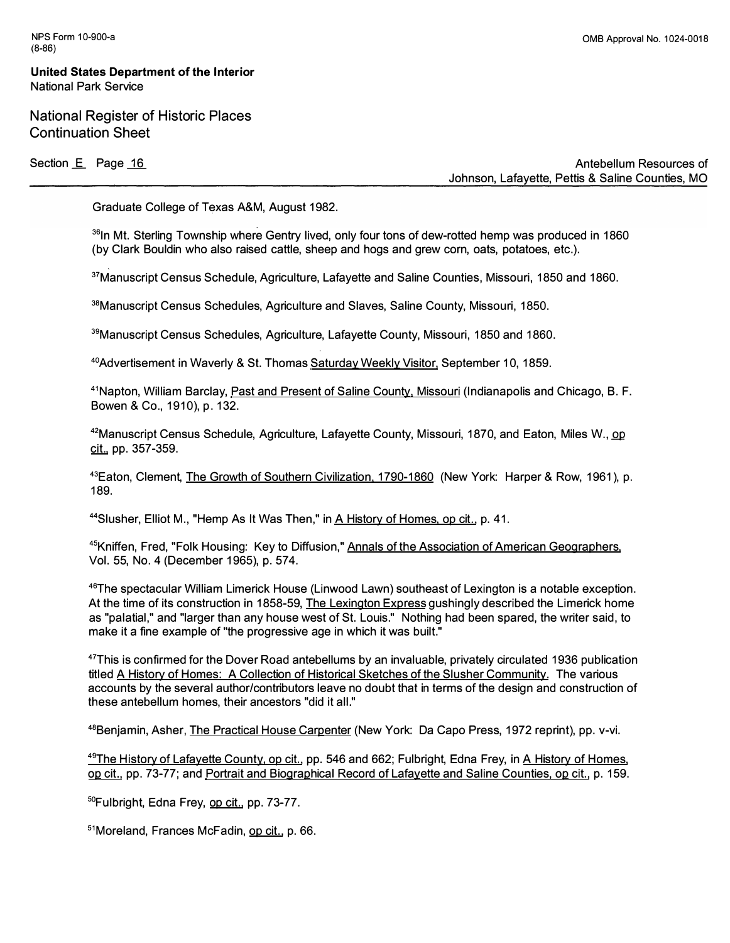**National Register of Historic Places Continuation Sheet** 

Section E<sub>\_\_</sub> Page 16 **Antebellum Resources of Section 2** Antebellum Resources of **Johnson, Lafayette, Pettis & Saline Counties, MO** 

**Graduate College of Texas A&M, August 1982.** 

**<sup>36</sup>In Mt. Sterling Township where Gentry lived, only four tons of dew-rotted hemp was produced in 1860 (by Clark Bouldin who also raised cattle, sheep and hogs and grew corn, oats, potatoes, etc.).** 

**<sup>37</sup>Manuscript Census Schedule, Agriculture, Lafayette and Saline Counties, Missouri, 1850 and 1860.** 

**<sup>38</sup>Manuscript Census Schedules, Agriculture and Slaves, Saline County, Missouri, 1850.** 

**<sup>39</sup>Manuscript Census Schedules, Agriculture, Lafayette County, Missouri, 1850 and 1860.** 

**<sup>40</sup>Advertisement in Waverly & St. Thomas Saturday Weekly Visitor, September 10, 1859.** 

<sup>41</sup> Napton, William Barclay, *Past and Present of Saline County, Missouri* (Indianapolis and Chicago, B. F. **Bowen & Co., 1910), p. 132.** 

**<sup>42</sup>Manuscript Census Schedule, Agriculture, Lafayette County, Missouri, 1870, and Eaton, Miles W., QQ cit., pp. 357-359.** 

**<sup>43</sup>Eaton, Clement, The Growth of Southern Civilization, 1790-1860 (New York: Harper & Row, 1961 ), p. 189.** 

44 Slusher, Elliot M., "Hemp As It Was Then," in A History of Homes, op cit., p. 41.

**<sup>45</sup>Kniffen, Fred, "Folk Housing: Key to Diffusion," Annals of the Association of American Geographers, Vol. 55, No. 4 (December 1965), p. 57 4.** 

**<sup>46</sup>The spectacular William Limerick House (Linwood Lawn) southeast of Lexington is a notable exception. At the time of its construction in 1858-59, The Lexington Express gushingly described the Limerick home as "palatial," and "larger than any house west of St. Louis." Nothing had been spared, the writer said, to make it a fine example of "the progressive age in which it was built."** 

**<sup>47</sup>This is confirmed for the Dover Road antebellums by an invaluable, privately circulated 1936 publication titled A History of Homes: A Collection of Historical Sketches of the Slusher Community. The various accounts by the several author/contributors leave no doubt that in terms of the design and construction of these antebellum homes, their ancestors "did it all."** 

**<sup>48</sup>Benjamin, Asher, The Practical House Carpenter (New York: Da Capo Press, 1972 reprint), pp. v-vi.** 

**<sup>49</sup>The History of Lafayette County. op cit. , pp. 546 and 662; Fulbright, Edna Frey, in A History of Homes, op cit. , pp. 73-77; and Portrait and Biographical Record of Lafayette and Saline Counties, op cit. , p. 159.** 

**5 °Fulbright, Edna Frey, op cit., pp. 73-77.** 

**<sup>51</sup>Moreland, Frances McFadin, op cit. , p. 66.**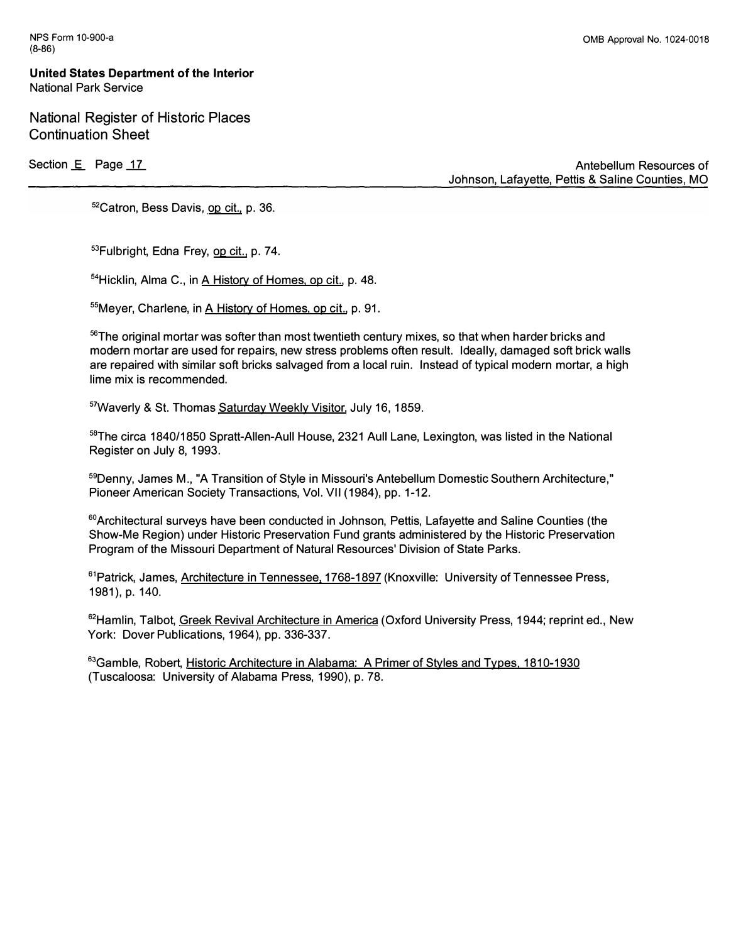National Register of Historic Places Continuation Sheet

Section E Page 17

**Antebellum Resources of Johnson, Lafayette, Pettis & Saline Counties, MO** 

**<sup>52</sup>Catron, Bess Davis, op cit., p. 36.** 

53**Fulbright, Edna Frey, op cit., p. 74.** 

<sup>54</sup>**Hicklin, Alma C. , in A History of Homes, op cit., p. 48.** 

**<sup>55</sup>Meyer, Charlene, in A History of Homes, op cit., p. 91.** 

**<sup>56</sup>The original mortar was softer than most twentieth century mixes, so that when harder bricks and modern mortar are used for repairs, new stress problems often result. Ideally, damaged soft brick walls are repaired with similar soft bricks salvaged from a local ruin. Instead of typical modern mortar, a high lime mix is recommended.** 

<sup>57</sup>**Waverly & St. Thomas Saturday Weekly Visitor, July 16, 1859.** 

<sup>58</sup>**The circa 1840/1850 Spratt-Allen-Aull House, 2321 Aull Lane, Lexington, was listed in the National Register on July 8, 1993.** 

<sup>59</sup>**Denny, James M., "A Transition of Style in Missouri's Antebellum Domestic Southern Architecture," Pioneer American Society Transactions, Vol. VII (1984), pp. 1-12.** 

**<sup>60</sup>Architectural surveys have been conducted in Johnson, Pettis, Lafayette and Saline Counties (the Show-Me Region) under Historic Preservation Fund grants administered by the Historic Preservation Program of the Missouri Department of Natural Resources' Division of State Parks.** 

**<sup>61</sup>Patrick, James, Architecture in Tennessee. 1768-1897 (Knoxville: University of Tennessee Press, 1981), p. 140.** 

**<sup>62</sup>Hamlin, Talbot, Greek Revival Architecture in America (Oxford University Press, 1944; reprint ed. , New York: Dover Publications, 1964), pp. 336-337.** 

<sup>63</sup>**Gamble, Robert, Historic Architecture in Alabama: A Primer of Styles and Types, 1810-1930 (Tuscaloosa: University of Alabama Press, 1990), p. 78.**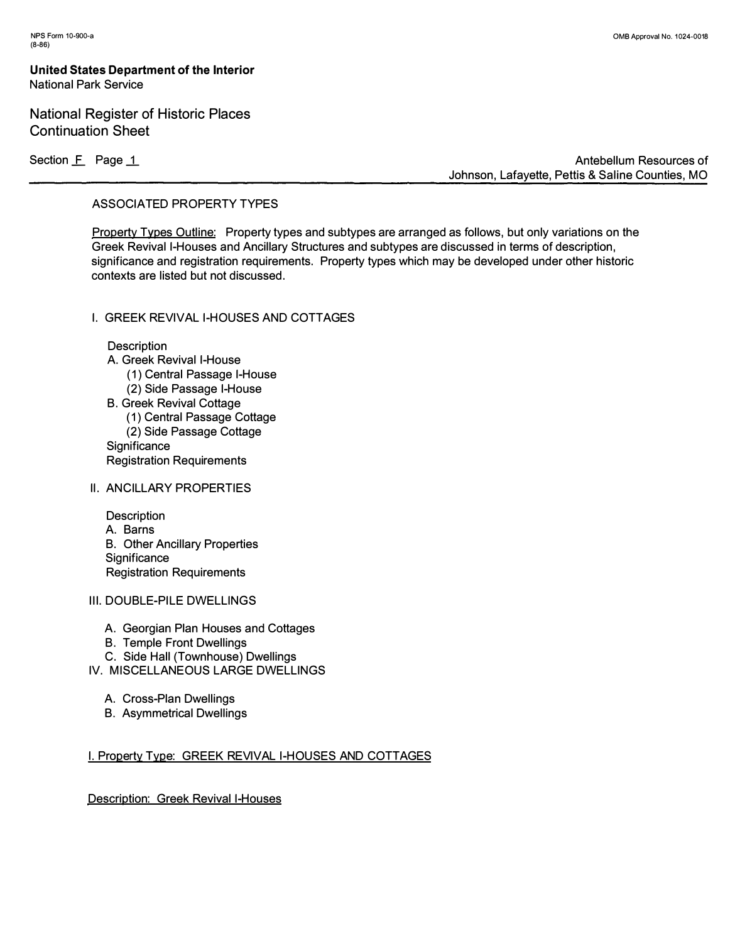# **National Register of Historic Places Continuation Sheet**

Section **F** Page 1

**Antebellum Resources of Johnson, Lafayette, Pettis & Saline Counties, MO** 

## **ASSOCIATED PROPERTY TYPES**

**Property Types Outline: Property types and subtypes are arranged as follows, but only variations on the Greek Revival I-Houses and Ancillary Structures and subtypes are discussed in terms of description, significance and registration requirements. Property types which may be developed under other historic contexts are listed but not discussed.** 

## **I. GREEK REVIVAL I-HOUSES AND COTTAGES**

**Description** 

- **A. Greek Revival I-House** 
	- **( 1) Central Passage I-House**
	- **(2) Side Passage I-House**
- **B. Greek Revival Cottage ( 1 ) Central Passage Cottage**
- **(2) Side Passage Cottage**
- **Significance**
- **Registration Requirements**
- **II. ANCILLARY PROPERTIES**

**Description A. Barns B. Other Ancillary Properties Significance Registration Requirements** 

- **111. DOUBLE-PILE DWELLINGS** 
	- **A. Georgian Plan Houses and Cottages**
	- **B. Temple Front Dwellings**
	- **C. Side Hall (Townhouse) Dwellings**
- **IV. MISCELLANEOUS LARGE DWELLINGS** 
	- **A. Cross-Plan Dwellings**
	- **B. Asymmetrical Dwellings**

## **I. Property Type: GREEK REVIVAL I-HOUSES AND COTTAGES**

**Description: Greek Revival I-Houses**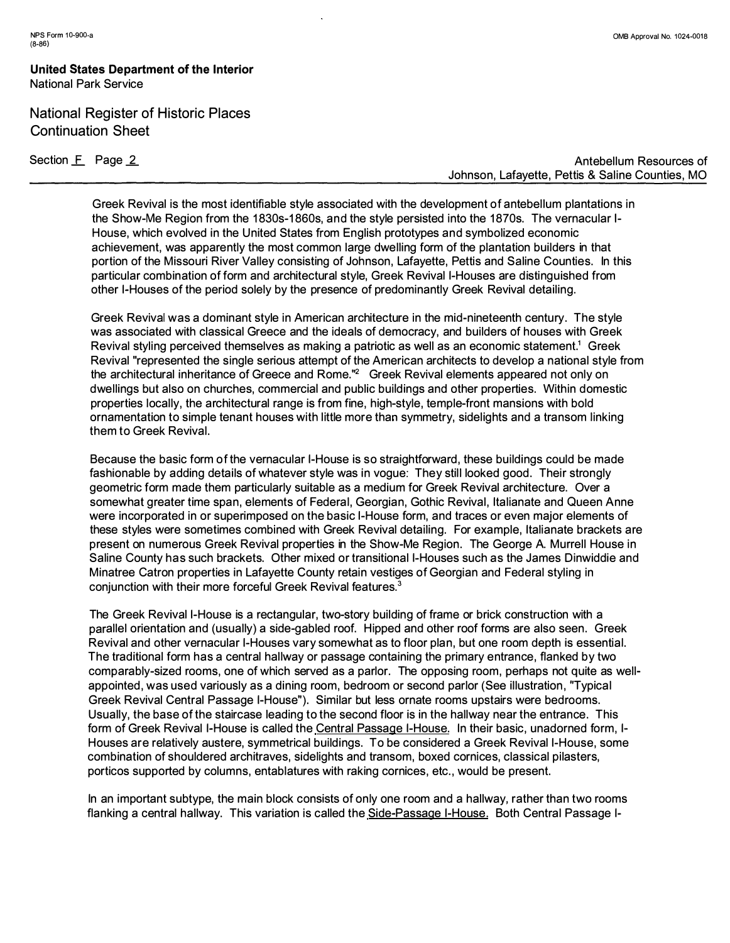# National Register of Historic Places Continuation Sheet

Section **F** Page 2

**Antebellum Resources of Johnson, Lafayette, Pettis & Saline Counties, MO** 

**Greek Revival is the most identifiable style associated with the development of antebel lum plantations in the Show-Me Region from the 1 830s-1 860s, and the style persisted into the 1 870s. The vernacular 1- House, which evolved in the United States from Engl ish prototypes and symbolized economic achievement, was apparently the most common large dwelling form of the plantation builders in that portion of the Missouri River Valley consisting of Johnson, Lafayette, Pettis and Saline Counties. In this particular combination of form and architectural style, Greek Revival I-Houses are distinguished from other I-Houses of the period solely by the presence of predominantly Greek Revival detailing.** 

**Greek Revival was a dominant style in American architecture in the mid-nineteenth century. The style was associated with classical Greece and the ideals of democracy, and builders of houses with Greek Revival styl ing perceived themselves as making a patriotic as well as an economic statement.<sup>1</sup>Greek Revival "represented the single serious attempt of the American architects to develop a national style from the architectural inheritance of Greece and Rome."**<sup>2</sup>**Greek Revival elements appeared not only on dwellings but also on churches, commercial and public buildings and other properties. Within domestic properties locally, the architectural range is from fine, high-style, temple-front mansions with bold ornamentation to simple tenant houses with little more than symmetry, sidel ights and a transom linking them to Greek Revival.** 

**Because the basic form of the vernacular I-House is so straightforward, these buildings could be made fashionable by adding details of whatever style was in vogue: They still looked good . Their strongly geometric form made them particularly suitable as a medium for Greek Revival architecture. Over a somewhat greater time span, elements of Federal, Georgian, Gothic Revival, Italianate and Queen Anne were incorporated in or superimposed on the basic I-House form, and traces or even major elements of these styles were sometimes combined with Greek Revival detailing. For example, Italianate brackets are present on numerous Greek Revival properties in the Show-Me Region. The George A. Murrell House in Saline County has such brackets. Other mixed or transitional I-Houses such as the James Dinwiddie and Minatree Catron properties in Lafayette County retain vestiges of Georgian and Federal styl ing in conjunction with their more forceful Greek Revival features.**<sup>3</sup>

**The Greek Revival I-House is a rectangular, two-story building of frame or brick construction with a parallel orientation and (usually) a side-gabled roof. Hipped and other roof forms are also seen. Greek Revival and other vernacular I-Houses vary somewhat as to floor plan, but one room depth is essential. The traditional form has a central hal lway or passage containing the primary entrance, flanked by two comparably-sized rooms, one of which served as a parlor. The opposing room, perhaps not quite as wellappointed , was used variously as a dining room, bedroom or second parlor (See illustration, "Typical Greek Revival Central Passage I-House"). Similar but less ornate rooms upstairs were bedrooms. Usually, the base of the staircase leading to the second floor is in the hallway near the entrance. This**  form of Greek Revival I-House is called the Central Passage I-House. In their basic, unadorned form, I-**Houses are relatively austere, symmetrical buildings. To be considered a Greek Revival I-House, some combination of shouldered architraves, sidelights and transom, boxed cornices, classical pilasters, porticos supported by columns, entablatures with raking cornices, etc. , would be present.** 

In an important subtype, the main block consists of only one room and a hallway, rather than two rooms flanking a central hallway. This variation is called the Side-Passage I-House. Both Central Passage I-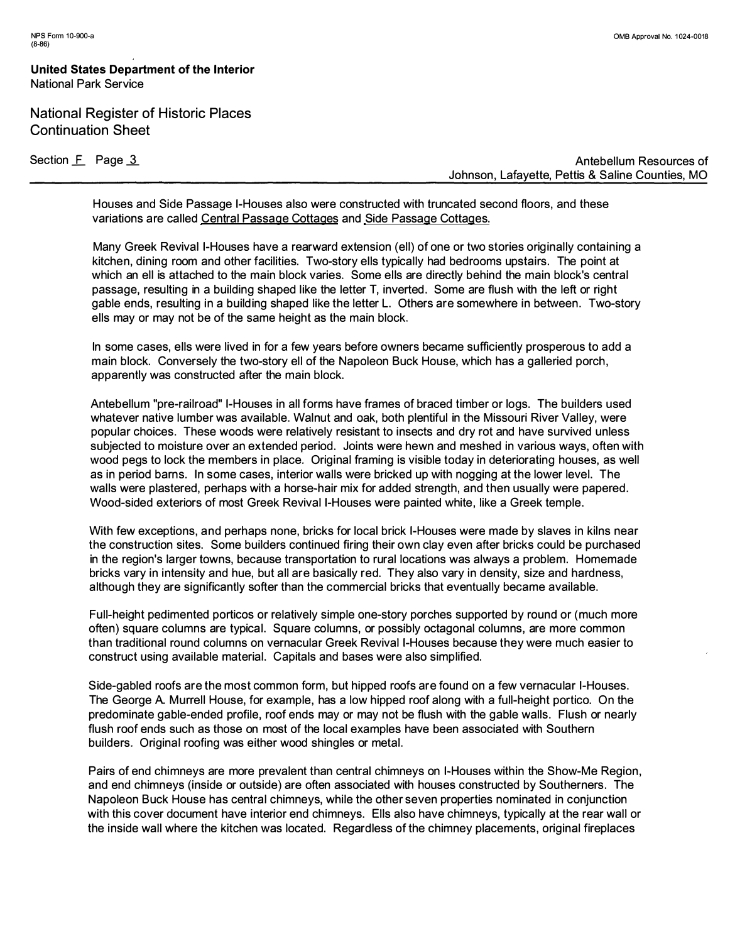# **National Register of Historic Places Continuation Sheet**

Section **F** Page 3

**Antebellum Resources of Johnson, Lafayette, Pettis & Saline Counties, MO** 

**Houses and Side Passage I-Houses a***l***so were constructed with truncated second f***l***oors, and these variations are ca***ll***ed Centra***l* **Passage Cottages and Side Passage Cottages.** 

**Many Greek Reviva***l* **I-Houses have a rearward extension (e***ll***) of one or two stories origina***ll***y containing a kitchen, dining room and other faci** *l* **ities. Two-story e***ll***s typica***ll***y had bedrooms upstairs. The point at which an e***ll* **is attached to the main b***l***ock varies. Some e***ll***s are direct***l***y behind the main b***l***ock's centra***l*  **passage, resu***l***ting in a bui** *l***ding shaped** *l* **ike the** *l***etter T, inverted . Some are f***l***ush with the** *l***eft or right gab***l***e ends, resu***l***ting in a bui***l***ding shaped** *l* **ike the** *l***etter L. Others are somewhere in between. Two-story e***ll***s may or may not be of the same height as the main b***l***ock.** 

**In some cases, e***ll***s were** *l* **ived in for a few years before owners became sufficient***l***y prosperous to add a main b***l***ock. Converse***l***y the two-story e***ll* **of the Napo***l***eon Buck House, which has a ga***ll***eried porch, apparent***l***y was constructed after the main b***l***ock.** 

**Antebe***ll***um "pre-rai***l***road" I-Houses in a***ll* **forms have frames of braced timber or** *l***ogs. The bui** *l***ders used whatever native** *l***umber was avai** *l***ab***l***e. Wa***l***nut and oak, both p***l***entifu***l* **in the Missouri River Va***ll***ey, were popu***l***ar choices. These woods were re***l***ative***l***y resistant to insects and dry rot and have survived un***l***ess subjected to moisture over an extended period. Joints were hewn and meshed in various ways, often with wood pegs to** *l***ock the members in p***l***ace. Origina***l* **framing is visib***l***e today in deteriorating houses, as we***ll*  **as in period barns. In some cases, interior wa***ll***s were bricked up with nagging at the** *l***ower** *l***eve***l* **. The wa***ll***s were p***l***astered, perhaps with a horse-hair mix for added strength, and then usua***ll***y were papered . Wood-sided exteriors of most Greek Reviva***l* **I-Houses were painted white,** *l* **ike a Greek temp***l***e.** 

**With few exceptions, and perhaps none, bricks for** *l***oca***l* **brick I-Houses were made by s***l***aves in ki***l***ns near the construction sites. Some bui** *l***ders continued firing their own c***l***ay even after bricks cou***l***d be purchased in the region's** *l***arger towns, because transportation to rura***l l***ocations was a***l***ways a prob***l***em. Homemade bricks vary in intensity and hue, but a***ll* **are basica***ll***y red. They a***l***so vary in density, size and hardness, a***l***though they are significant***l***y softer than the commercia***l* **bricks that eventua***ll***y became avai***l***ab***l***e.** 

**Fu***ll***-height pedimented porticos or re***l***ative***l***y simp***l***e one-story porches supported by round or (much more often) square co***l***umns are typica***l* **. Square co***l***umns, or possib***l***y octagona***l* **co***l***umns, are more common than traditiona***l* **round co***l***umns on vernacu***l***ar Greek Reviva***l* **I-Houses because they were much easier to construct using avai** *l***ab***l***e materia***l* **. Capita***l***s and bases were a***l***so simp***l***ified.** 

**Side-gab***l***ed roofs are the most common form, but hipped roofs are found on a few vernacu***l***ar I-Houses. The George A. Murre***ll* **House, for examp***l***e, has a** *l***ow hipped roof a***l***ong with a fu***ll***-height portico. On the predominate gab***l***e-ended profi** *l***e, roof ends may or may not be f***l***ush with the gab***l***e wa***ll***s. F***l***ush or near***l***y f***l***ush roof ends such as those on most of the** *l***oca***l* **examp***l***es have been associated with Southern bui** *l***ders. Origina***l* **roofing was either wood shing***l***es or meta***l* **.** 

**Pairs of end chimneys are more prevalent than central chimneys on I-Houses within the Show-Me Region, and end chimneys (inside or outside) are often associated with houses constructed by Southerners. The Napoleon Buck House has central chimneys, while the other seven properties nominated in conjunction with this cover document have interior end chimneys. E***ll***s a***l***so have chimneys, typica***ll***y at the rear wa***ll* **or the inside wa***ll* **where the kitchen was** *l***ocated. Regard***l***ess of the chimney p***l***acements, origina***l* **firep***l***aces**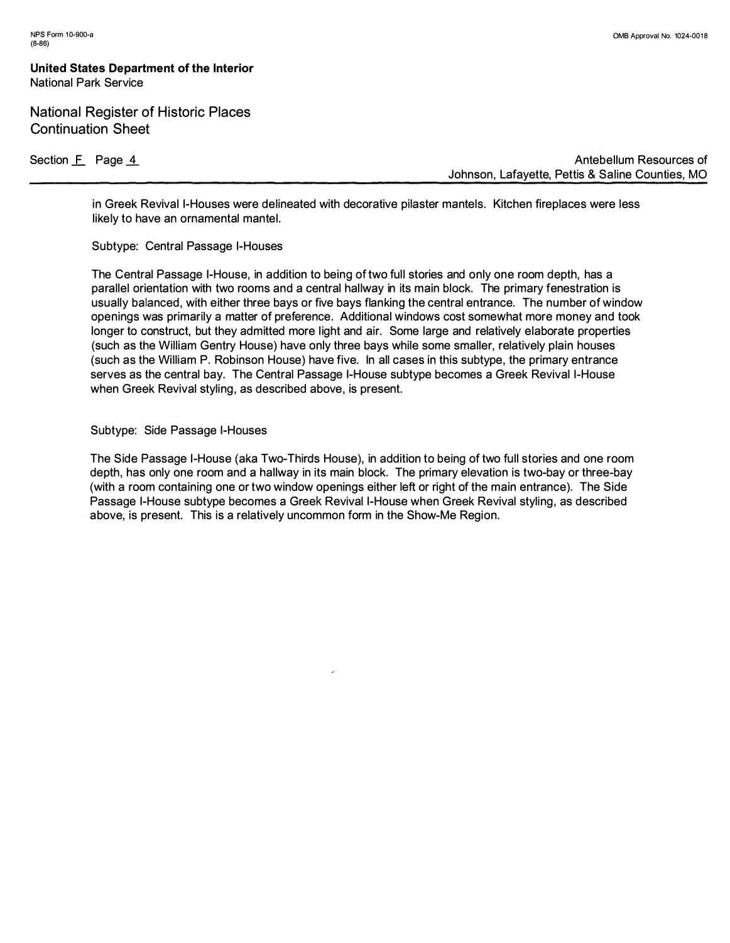## **National Register of Historic Places Continuation Sheet**

Section **F** Page 4

**Antebellum Resources of Johnson, Lafayette, Pettis & Saline Counties, MO** 

**in Greek Revival I-Houses were delineated with decorative pilaster mantels. Kitchen fireplaces were less likely to have an ornamental mantel.** 

**Subtype: Central Passage I-Houses** 

**The Central Passage I-House, in addition to being of two full stories and only one room depth, has a**  parallel orientation with two rooms and a central hallway in its main block. The primary fenestration is **usually balanced, with either three bays or five bays flanking the central entrance. The number of window openings was primarily a matter of preference. Additional windows cost somewhat more money and took longer to construct, but they admitted more light and air. Some large and relatively elaborate properties (such as the William Gentry House) have only three bays while some smaller, relatively plain houses (such as the Wi lliam P. Robinson House) have five. In all cases in this subtype, the primary entrance serves as the central bay. The Central Passage I-House subtype becomes a Greek Revival I-House**  when Greek Revival styling, as described above, is present.

**Subtype: Side Passage I-Houses** 

**The Side Passage I-House ( aka Two-Thirds House), in addition to being of two full stories and one room**  depth, has only one room and a hallway in its main block. The primary elevation is two-bay or three-bay **(with a room containing one or two window openings either left or right of the main entrance). The Side Passage I-House subtype becomes a Greek Revival I-House when Greek Revival styl ing, as described above, is present. This is a relatively uncommon form in the Show-Me Region.**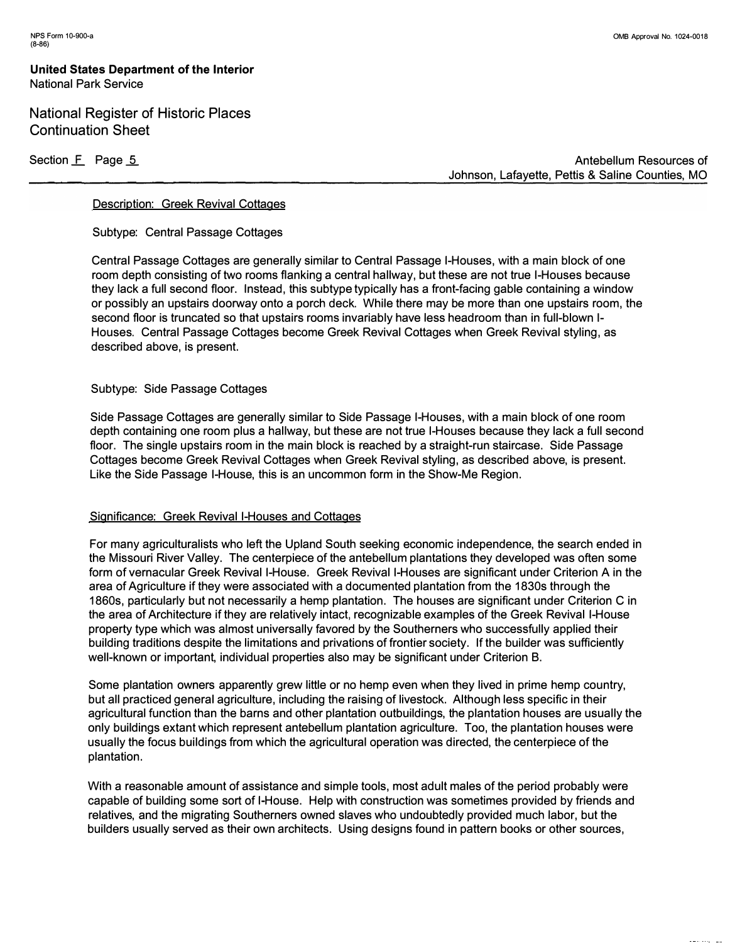National Register of Historic Places Continuation Sheet

Section **F** Page 5

**Antebellum Resources of Johnson, Lafayette, Pettis & Saline Counties, MO** 

#### **Description: Greek Revival Cottages**

**Subtype: Central Passage Cottages** 

**Central Passage Cottages are generally similar to Central Passage I-Houses, with a main block of one room depth consisting of two rooms flanking a central hallway, but these are not true I-Houses because they lack a full second floor. Instead, this subtype typically has a front-facing gable containing a window or possibly an upstairs doorway onto a porch deck. While there may be more than one upstairs room, the second floor is truncated so that upstairs rooms invariably have less headroom than in full-blown 1- Houses. Central Passage Cottages become Greek Revival Cottages when Greek Revival styling, as described above, is present.** 

**Subtype: Side Passage Cottages** 

**Side Passage Cottages are generally similar to Side Passage I-Houses, with a main block of one room depth containing one room plus a hallway, but these are not true I-Houses because they lack a full second floor. The single upstairs room in the main block is reached by a straight-run staircase. Side Passage Cottages become Greek Revival Cottages when Greek Revival styling, as described above, is present. Like the Side Passage I-House, this is an uncommon form in the Show-Me Region.** 

#### **Significance: Greek Revival I-Houses and Cottages**

**For many agriculturalists who left the Upland South seeking economic independence, the search ended in the Missouri River Valley. The centerpiece of the antebellum plantations they developed was often some form of vernacular Greek Revival I-House. Greek Revival I-Houses are significant under Criterion A in the area of Agriculture if they were associated with a documented plantation from the 1830s through the 1860s, particularly but not necessarily a hemp plantation. The houses are significant under Criterion C in the area of Architecture if they are relatively intact, recognizable examples of the Greek Revival I-House property type which was almost universally favored by the Southerners who successfully applied their building traditions despite the limitations and privations of frontier society. If the builder was sufficiently well-known or important, individual properties also may be significant under Criterion B.** 

**Some plantation owners apparently grew little or no hemp even when they lived in prime hemp country, but all practiced general agriculture, including the raising of livestock. Although less specific in their agricultural function than the barns and other plantation outbuildings, the plantation houses are usually the only buildings extant which represent antebellum plantation agriculture. Too, the plantation houses were usually the focus buildings from which the agricultural operation was directed, the centerpiece of the plantation.** 

**With a reasonable amount of assistance and simple tools, most adult males of the period probably were capable of building some sort of I-House. Help with construction was sometimes provided by friends and relatives, and the migrating Southerners owned slaves who undoubtedly provided much labor, but the builders usually served as their own architects. Using designs found in pattern books or other sources,**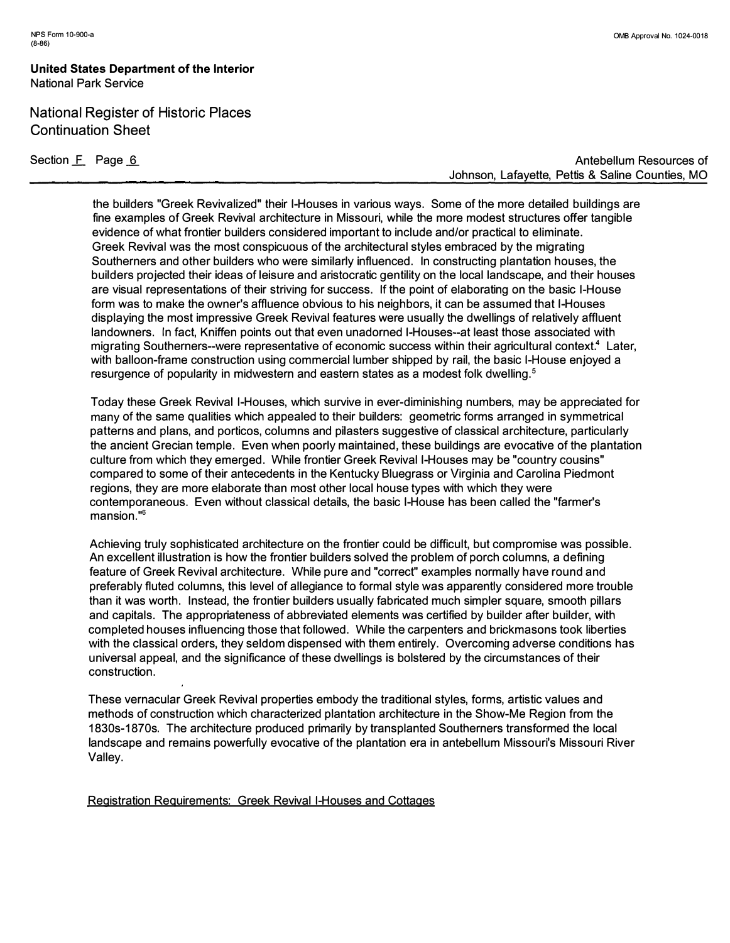# National Register of Historic Places Continuation Sheet

Section **F** Page 6

**Antebellum Resources of Johnson, Lafayette, Pettis & Saline Counties, MO** 

**the builders "Greek Revivalized" their I-Houses in various ways. Some of the more detailed buildings are fine examples of Greek Revival architecture in Missouri, while the more modest structures offer tangible evidence of what frontier builders considered important to include and/or practical to eliminate. Greek Revival was the most conspicuous of the architectural styles embraced by the migrating Southerners and other builders who were similarly influenced. In constructing plantation houses, the builders projected their ideas of leisure and aristocratic gentility on the local landscape, and their houses are visual representations of their striving for success. If the point of elaborating on the basic I-House form was to make the owner's affluence obvious to his neighbors, it can be assumed that I-Houses displaying the most impressive Greek Revival features were usually the dwellings of relatively affluent landowners. In fact, Kniffen points out that even unadorned I-Houses--at least those associated with migrating Southerners--were representative of economic success within their agricultural context.<sup>4</sup>Later, with balloon-frame construction using commercial lumber shipped by rail, the basic I-House enjoyed a resurgence of popularity in midwestern and eastern states as a modest folk dwelling. <sup>5</sup>**

**Today these Greek Revival I-Houses, which survive in ever-diminishing numbers, may be appreciated for many of the same qualities which appealed to their builders: geometric forms arranged in symmetrical patterns and plans, and porticos, columns and pilasters suggestive of classical architecture, particularly the ancient Grecian temple. Even when poorly maintained, these buildings are evocative of the plantation culture from which they emerged. While frontier Greek Revival I-Houses may be "country cousins" compared to some of their antecedents in the Kentucky Bluegrass or Virginia and Carolina Piedmont regions, they are more elaborate than most other local house types with which they were contemporaneous. Even without classical details, the basic I-House has been called the "farmer's mansion."<sup>6</sup>**

**Achieving truly sophisticated architecture on the frontier could be di***ff***icult, but compromise was possible. An excellent illustration is how the frontier builders solved the problem of porch columns, a defining feature of Greek Revival architecture. While pure and "correct" examples normally have round and preferably fluted columns, this level of allegiance to formal style was apparently considered more trouble than it was worth. Instead, the frontier builders usually fabricated much simpler square, smooth pillars and capitals. The appropriateness of abbreviated elements was certified by builder after builder, with completed houses influencing those that followed. While the carpenters and brickmasons took liberties with the classical orders, they seldom dispensed with them entirely. Overcoming adverse conditions has universal appeal, and the significance of these dwellings is bolstered by the circumstances of their construction.** 

**These vernacular Greek Revival properties embody the traditional styles, forms, artistic values and methods of construction which characterized plantation architecture in the Show-Me Region from the 1830s-1870s. The architecture produced primarily by transplanted Southerners transformed the local landscape and remains powerfully evocative of the plantation era in antebellum Missouri's Missouri River Valley.** 

**Registration Reguirements: Greek Revival I-Houses and Cottages**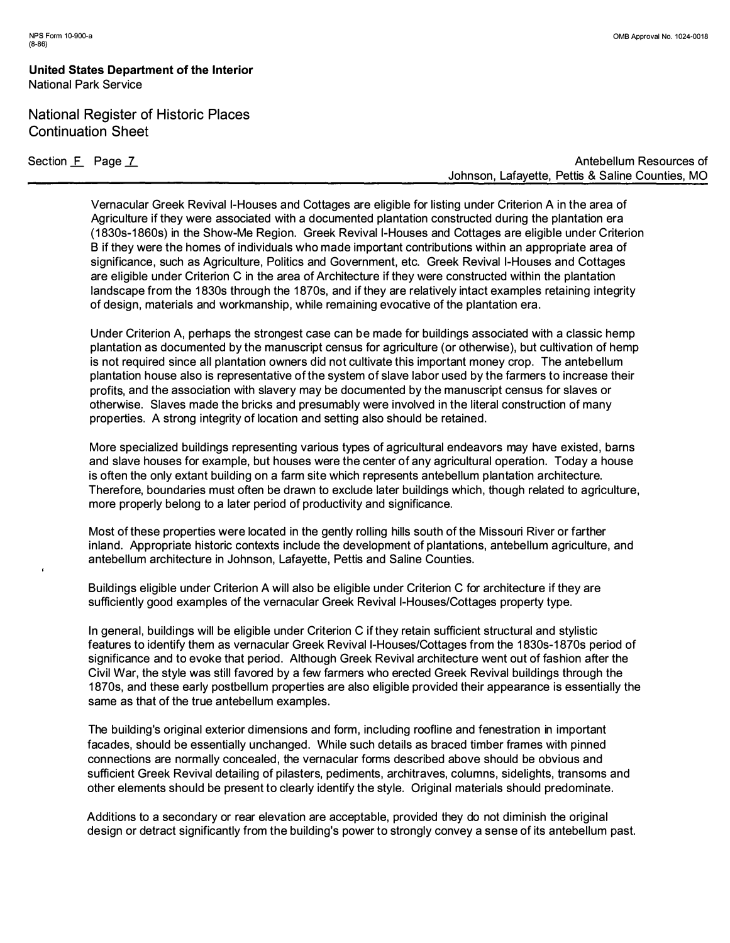# National Register of Historic Places Continuation Sheet

Section **F** Page 7

**Antebellum Resources of Johnson, Lafayette, Pettis & Saline Counties, MO** 

**Vernacular Greek Revival I-Houses and Cottages are eligible for listing under Criterion A in the area of Agriculture if they were associated with a documented plantation constructed during the plantation era ( 1 830s-1 860s) in the Show-Me Region. Greek Revival I-Houses and Cottages are eligible under Criterion B if they were the homes of individuals who made important contributions within an appropriate area of significance, such as Agriculture, Pol itics and Government, etc. Greek Revival I-Houses and Cottages are eligible under Criterion C in the area of Architecture if they were constructed within the plantation**  landscape from the 1830s through the 1870s, and if they are relatively intact examples retaining integrity **of design, materials and workmanship, while remaining evocative of the plantation era.** 

**Under Criterion A, perhaps the strongest case can be made for buildings associated with a classic hemp plantation as documented by the manuscript census for agriculture ( or otherwise), but cultivation of hemp is not required since all plantation owners did not cultivate this important money crop. The antebellum plantation house also is representative of the system of slave labor used by the farmers to increase their profits, and the association with slavery may be documented by the manuscript census for slaves or otherwise. Slaves made the bricks and presumably were involved in the literal construction of many properties. A strong integrity of location and setting also should be retained.** 

**More special ized buildings representing various types of agricultural endeavors may have existed , barns and slave houses for example, but houses were the center of any agricultural operation. Today a house is often the only extant building on a farm site which represents antebellum plantation architecture. Therefore, boundaries must often be drawn to exclude later buildings which, though related to agriculture, more properly belong to a later period of productivity and significance.** 

**Most of these properties were located in the gently rolling hills south of the Missouri River or farther inland. Appropriate historic contexts include the development of plantations, antebellum agriculture, and antebellum architecture in Johnson, Lafayette, Pettis and Saline Counties.** 

**Buildings eligible under Criterion A will also be eligible under Criterion C for architecture if they are sufficiently good examples of the vernacular Greek Revival I-Houses/Cottages property type.** 

**In general, buildings will be eligible under Criterion C if they retain sufficient structural and styl istic**  features to identify them as vernacular Greek Revival I-Houses/Cottages from the 1830s-1870s period of **significance and to evoke that period. Although Greek Revival architecture went out of fashion after the**  Civil War, the style was still favored by a few farmers who erected Greek Revival buildings through the 1870s, and these early postbellum properties are also eligible provided their appearance is essentially the **same as that of the true antebellum examples.** 

**The building's original exterior dimensions and form, including roofl ine and fenestration in important facades, should be essentially unchanged . While such details as braced timber frames with pinned connections are normally concealed , the vernacular forms described above should be obvious and sufficient Greek Revival detailing of pilasters, pediments, architraves, columns, sidelights, transoms and other elements should be present to clearly identify the style. Original materials should predominate.** 

**Additions to a secondary or rear elevation are acceptable, provided they do not diminish the original design or detract significantly from the building's power to strongly convey a sense of its antebellum past.**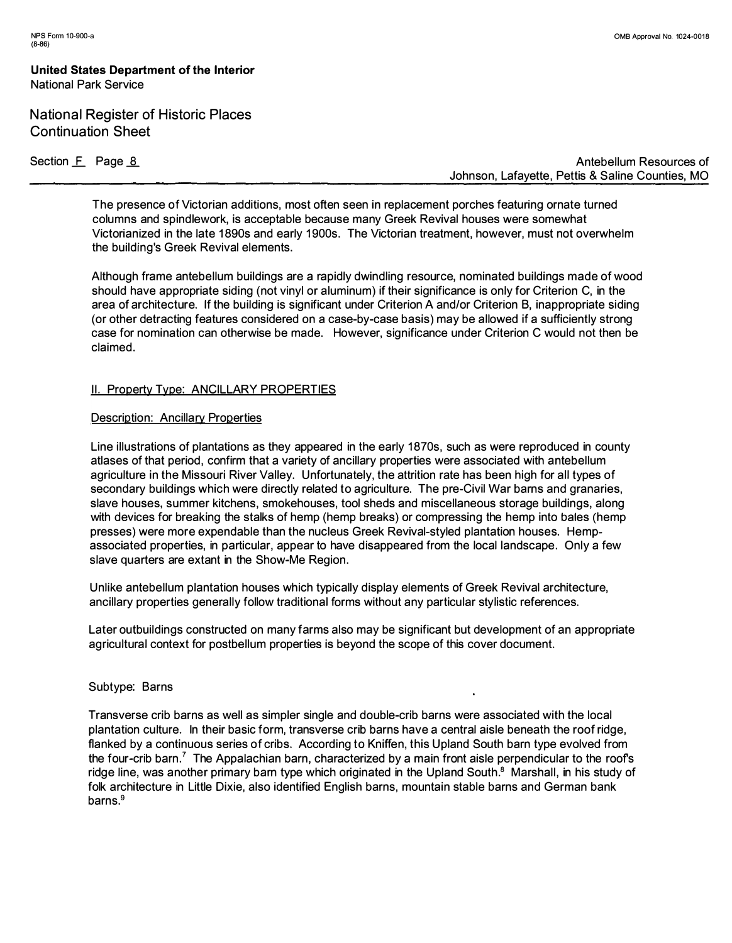# **National Register of Historic Places Continuation Sheet**

**Section £\_ Page \_a** 

**Antebellum Resources of Johnson, Lafayette, Pettis & Saline Counties, MO** 

**The presence of Victorian additions, most often seen in replacement porches featuring ornate turned columns and spindlework, is acceptable because many Greek Revival houses were somewhat Victorianized in the late 1 890s and early 1 900s. The Victorian treatment, however, must not overwhelm the building's Greek Revival elements.** 

**Although frame antebellum buildings are a rapidly dwindl ing resource, nominated buildings made of wood should have appropriate siding (not vinyl or aluminum) if their significance is only for Criterion C, in the area of architecture. If the building is significant under Criterion A and/or Criterion B, inappropriate siding ( or other detracting features considered on a case-by-case basis) may be allowed if a sufficiently strong case for nomination can otherwise be made. However, significance under Criterion C would not then be claimed.** 

## **II. Property Type: ANCILLARY PROPERTIES**

#### **Description: Ancillary Properties**

Line illustrations of plantations as they appeared in the early 1870s, such as were reproduced in county **atlases of that period, confirm that a variety of ancillary properties were associated with antebellum agriculture in the Missouri River Valley. Unfortunately, the attrition rate has been high for all types of secondary buildings which were directly related to agriculture. The pre-Civil War barns and granaries, slave houses, summer kitchens, smokehouses, tool sheds and miscellaneous storage buildings, along with devices for breaking the stalks of hemp (hemp breaks) or compressing the hemp into bales (hemp presses) were more expendable than the nucleus Greek Revival-styled plantation houses. Hempassociated properties, in particular, appear to have disappeared from the local landscape. Only a few slave quarters are extant in the Show-Me Region.** 

**Unlike antebellum plantation houses which typically display elements of Greek Revival architecture, ancillary properties generally follow traditional forms without any particular stylistic references.** 

**Later outbuildings constructed on many farms also may be significant but development of an appropriate agricultural context for postbellum properties is beyond the scope of this cover document.** 

#### **Subtype: Barns**

**Transverse crib barns as well as simpler single and double-crib barns were associated with the local plantation culture. In their basic form, transverse crib barns have a central aisle beneath the roof ridge, flanked by a continuous series of cribs. According to Kniffen, this Upland South barn type evolved from the four-crib barn . <sup>7</sup>The Appalachian barn, characterized by a main front aisle perpendicular to the roofs**  ridge line, was another primary barn type which originated in the Upland South.<sup>8</sup> Marshall, in his study of **folk architecture in Little Dixie, also identified English barns, mountain stable barns and German bank barns.9**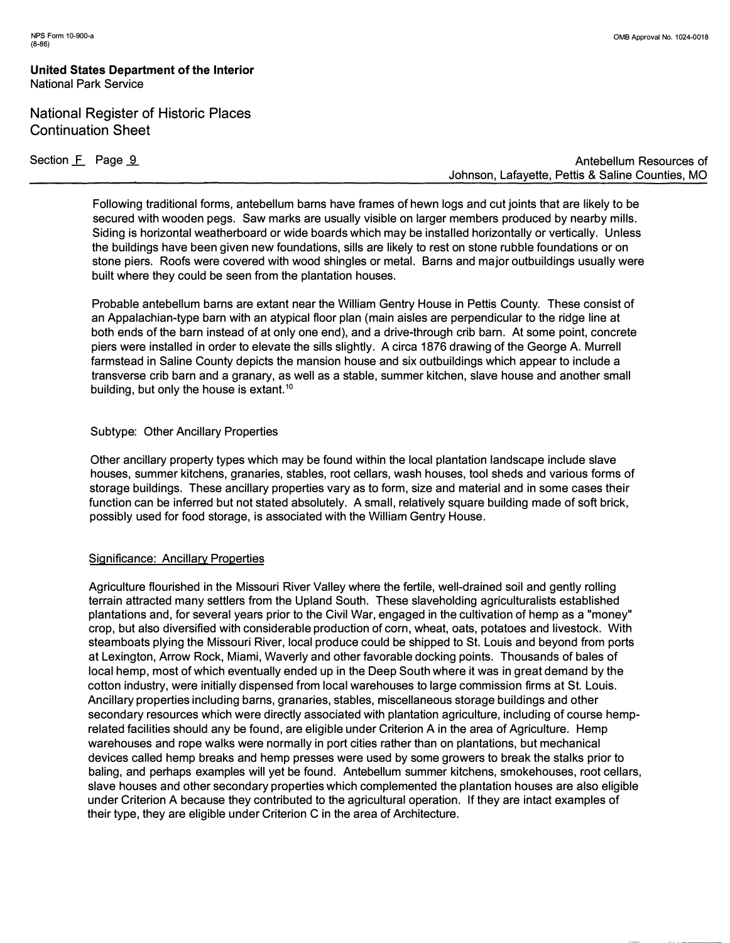## **National Register of Historic Places Continuation Sheet**

Section **F** Page 9

**Antebellum Resources of Johnson, Lafayette, Pettis & Saline Counties, MO** 

**Following traditional forms, antebellum barns have frames of hewn logs and cut joints that are likely to be secured with wooden pegs. Saw marks are usually visible on larger members produced by nearby mills. Siding is horizontal weatherboard or wide boards which may be installed horizontally or vertically. Unless the buildings have been given new foundations, sills are likely to rest on stone rubble foundations or on stone piers. Roofs were covered with wood shingles or metal. Barns and major outbuildings usually were built where they could be seen from the plantation houses.** 

**Probable antebellum barns are extant near the William Gentry House in Pettis County. These consist of an Appalachian-type barn with an atypical floor plan (main aisles are perpendicular to the ridge line at both ends of the barn instead of at only one end), and a drive-through crib barn. At some point, concrete piers were installed in order to elevate the sills slightly. A circa 1876 drawing of the George A. Murrell farmstead in Saline County depicts the mansion house and six outbuildings which appear to include a transverse crib barn and a granary, as well as a stable, summer kitchen, slave house and another small building, but only the house is extant. <sup>10</sup>**

#### **Subtype: Other Ancillary Properties**

**Other ancillary property types which may be found within the local plantation landscape include slave houses, summer kitchens, granaries, stables, root cellars, wash houses, tool sheds and various forms of storage buildings. These ancillary properties vary as to form, size and material and in some cases their function can be inferred but not stated absolutely. A small, relatively square building made of soft brick, possibly used for food storage, is associated with the William Gentry House.** 

## **Significance: Ancillary Properties**

**Agriculture flourished in the Missouri River Valley where the fertile, well-drained soil and gently rolling terrain attracted many settlers from the Upland South. These slaveholding agriculturalists established plantations and, for several years prior to the Civil War, engaged in the cultivation of hemp as a "money" crop, but also diversified with considerable production of corn, wheat, oats, potatoes and livestock. With steamboats plying the Missouri River, local produce could be shipped to St. Louis and beyond from ports at Lexington, Arrow Rock, Miami, Waverly and other favorable docking points. Thousands of bales of local hemp, most of which eventually ended up in the Deep South where it was in great demand by the cotton industry, were initially dispensed from local warehouses to large commission firms at St. Louis. Ancillary properties including barns, granaries, stables, miscellaneous storage buildings and other secondary resources which were directly associated with plantation agriculture, including of course hemprelated facilities should any be found, are eligible under Criterion A in the area of Agriculture. Hemp warehouses and rope walks were normally in port cities rather than on plantations, but mechanical devices called hemp breaks and hemp presses were used by some growers to break the stalks prior to baling, and perhaps examples will yet be found. Antebellum summer kitchens, smokehouses, root cellars, slave houses and other secondary properties which complemented the plantation houses are also eligible under Criterion A because they contributed to the agricultural operation. If they are intact examples of their type, they are eligible under Criterion C in the area of Architecture.**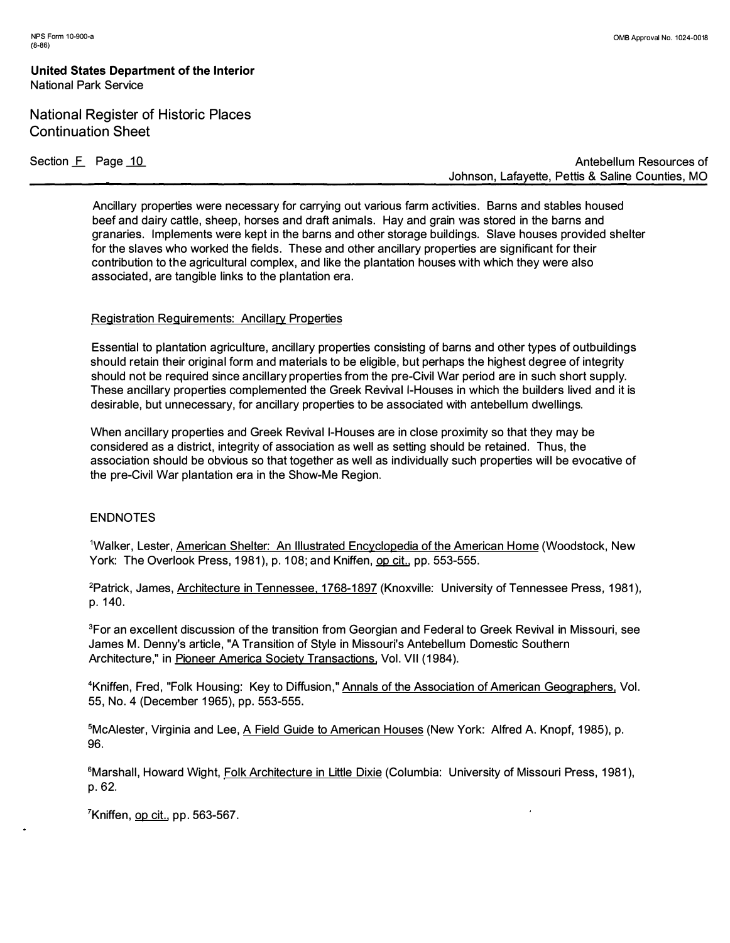# **National Register of Historic Places Continuation Sheet**

Section F Page 10

**Antebellum Resources of Johnson, Lafayette, Pettis & Saline Counties, MO** 

**Ancillary properties were necessary for carrying out various farm activities. Barns and stables housed beef and dairy cattle, sheep, horses and draft animals. Hay and grain was stored in the barns and granaries. Implements were kept in the barns and other storage buildings. Slave houses provided shelter for the slaves who worked the fields. These and other ancillary properties are significant for their contribution to the agricultural complex, and like the plantation houses with which they were also associated, are tangible links to the plantation era.** 

#### **Registration Reguirements: Ancillary Properties**

**Essential to plantation agriculture, ancillary properties consisting of barns and other types of outbuildings should retain their original form and materials to be eligible, but perhaps the highest degree of integrity should not be required since ancillary properties from the pre-Civil War period are in such short supply. These ancillary properties complemented the Greek Revival I-Houses in which the builders lived and it is desirable, but unnecessary, for ancillary properties to be associated with antebellum dwellings.** 

**When ancillary properties and Greek Revival I-Houses are in close proximity so that they may be considered as a district, integrity of association as well as setting should be retained. Thus, the association should be obvious so that together as well as individually such properties will be evocative of the pre-Civil War plantation era in the Show-Me Region.** 

## **ENDNOTES**

<sup>1</sup>**Walker, Lester, American Shelter: An Illustrated Encyclopedia of the American Home (Woodstock, New York: The Overlook Press, 1981 ), p. 108; and Kniffen, op cit., pp. 553-555.** 

<sup>2</sup> Patrick, James, Architecture in Tennessee, 1768-1897 (Knoxville: University of Tennessee Press, 1981), **p. 140.** 

**<sup>3</sup>For an excellent discussion of the transition from Georgian and Federal to Greek Revival in Missouri, see James M. Denny's article, "A Transition of Style in Missouri's Antebellum Domestic Southern Architecture," in Pioneer America Society Transactions, Vol. VII (1984).** 

**<sup>4</sup>Kniffen, Fred, "Folk Housing: Key to Diffusion," Annals of the Association of American Geographers, Vol. 55, No. 4 (December 1965), pp. 553-555.** 

**<sup>5</sup>McAlester, Virginia and Lee, A Field Guide to American Houses (New York: Alfred A. Knopf, 1985), p. 96.** 

<sup>6</sup>Marshall, Howard Wight, Folk Architecture in Little Dixie (Columbia: University of Missouri Press, 1981), **p. 62.** 

<sup>7</sup>**Kniffen, op cit., pp. 563-567.**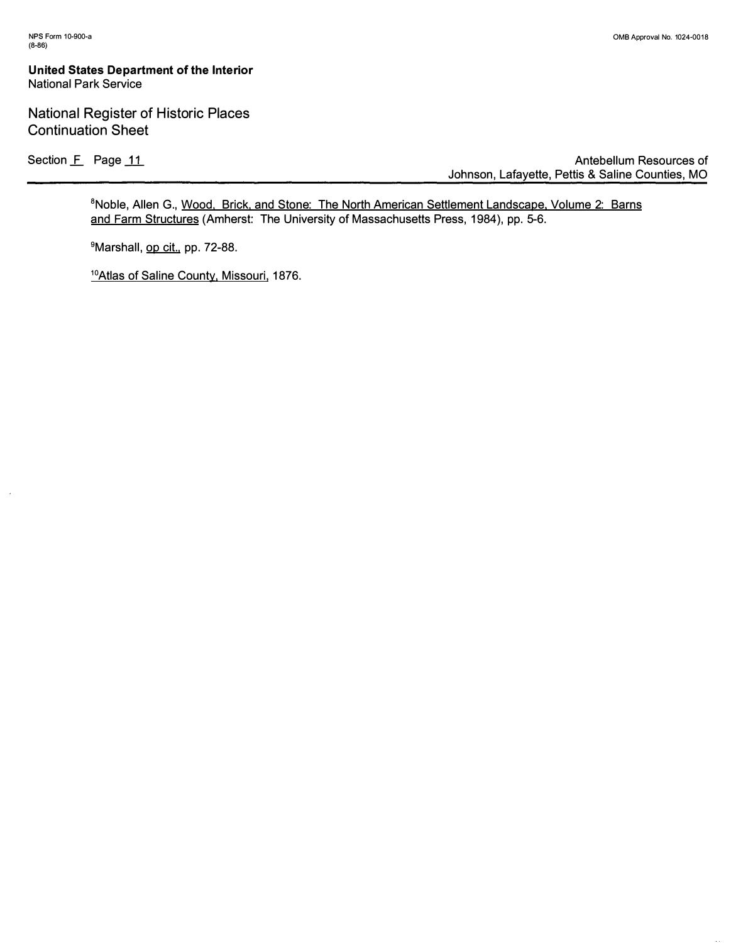$\hat{\mathbf{z}}$ 

#### **United States Department of the Interior National Park Service**

## **National Register of Historic Places Continuation Sheet**

Section **F** Page 11

**Antebellum Resources of Johnson, Lafayette, Pettis & Saline Counties, MO** 

**<sup>8</sup>Noble, Allen G., Wood, Brick, and Stone: The North American Settlement Landscape, Volume 2: Barns**  and Farm Structures (Amherst: The University of Massachusetts Press, 1984), pp. 5-6.

**<sup>9</sup>Marshall, op cit., pp. 72-88.** 

**1 0Atlas of Saline County, Missouri, 1876.**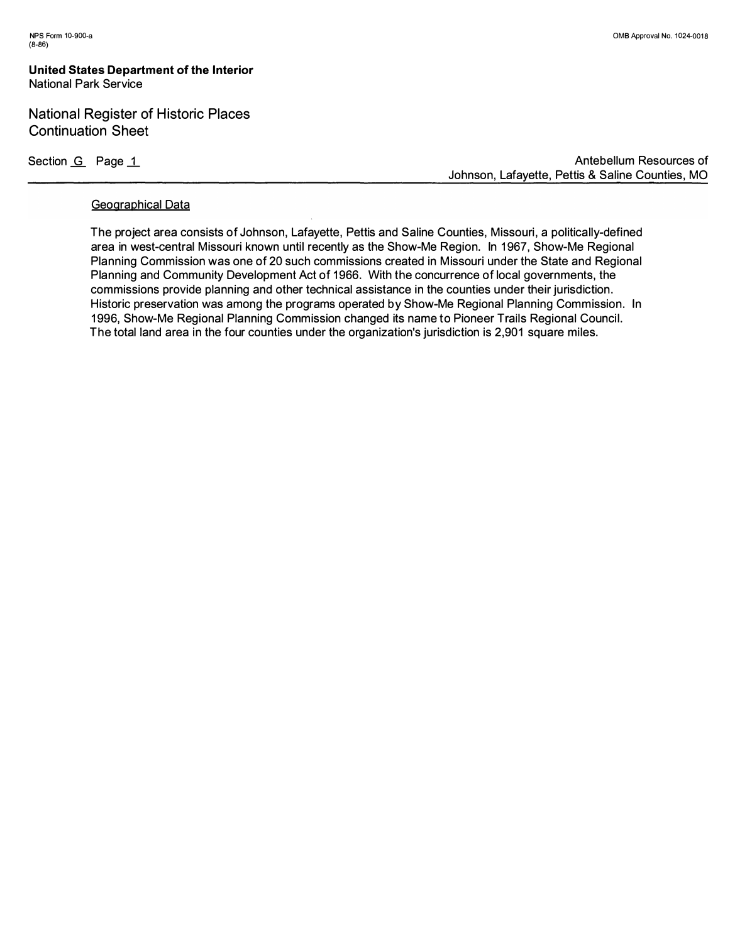## **National Register of Historic Places Continuation Sheet**

Section <u>G</u> Page 1

**Antebellum Resources of Johnson, Lafayette, Pettis & Saline Counties, MO** 

#### **Geographical Data**

**The project area consists of Johnson, Lafayette, Pettis and Saline Counties, Missouri, a pol itically-defined**  area in west-central Missouri known until recently as the Show-Me Region. In 1967, Show-Me Regional **Planning Commission was one of 20 such commissions created in Missouri under the State and Regional**  Planning and Community Development Act of 1966. With the concurrence of local governments, the **commissions provide planning and other technical assistance in the counties under their jurisdiction. Historic preservation was among the programs operated by Show-Me Regional Planning Commission. In 1 996, Show-Me Regional Planning Commission changed its name to Pioneer Trails Regional Council. The total land area in the four counties under the organization's jurisdiction is 2,901 square miles.**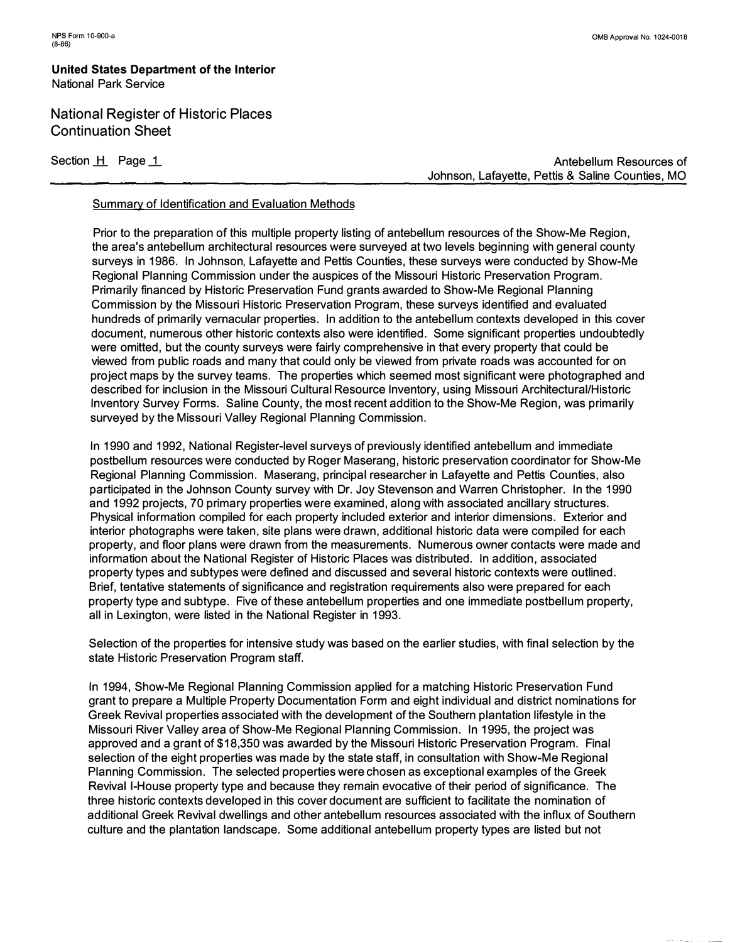**National Register of Historic Places Continuation Sheet** 

Section H Page 1

**Antebellum Resources of Johnson, Lafayette, Pettis & Saline Counties, MO** 

#### **Summary of Identification and Evaluation Methods**

**Prior to the preparation of this multiple property listing of antebellum resources of the Show-Me Region, the area's antebellum architectural resources were surveyed at two levels beginning with general county surveys in 1986. In Johnson, Lafayette and Pettis Counties, these surveys were conducted by Show-Me Regional Planning Commission under the auspices of the Missouri Historic Preservation Program. Primarily financed by Historic Preservation Fund grants awarded to Show-Me Regional Planning Commission by the Missouri Historic Preservation Program, these surveys identified and evaluated hundreds of primarily vernacular properties. In addition to the antebellum contexts developed in this cover document, numerous other historic contexts also were identified. Some significant properties undoubtedly were omitted, but the county surveys were fairly comprehensive in that every property that could be viewed from public roads and many that could only be viewed from private roads was accounted for on project maps by the survey teams. The properties which seemed most significant were photographed and described for inclusion in the Missouri Cultural Resource Inventory, using Missouri Architectural/Historic Inventory Survey Forms. Saline County, the most recent addition to the Show-Me Region, was primarily surveyed by the Missouri Valley Regional Planning Commission.** 

**In 1990 and 1992, National Register-level surveys of previously identified antebellum and immediate postbellum resources were conducted by Roger Maserang, historic preservation coordinator for Show-Me Regional Planning Commission. Maserang, principal researcher in Lafayette and Pettis Counties, also participated in the Johnson County survey with Dr. Joy Stevenson and Warren Christopher. In the 1990 and 1992 projects, 70 primary properties were examined, along with associated ancillary structures. Physical information compiled for each property included exterior and interior dimensions. Exterior and interior photographs were taken, site plans were drawn, additional historic data were compiled for each property, and floor plans were drawn from the measurements. Numerous owner contacts were made and information about the National Register of Historic Places was distributed. In addition, associated property types and subtypes were defined and discussed and several historic contexts were outlined. Brief, tentative statements of significance and registration requirements also were prepared for each property type and subtype. Five of these antebellum properties and one immediate postbellum property, all in Lexington, were listed in the National Register in 1993.** 

**Selection of the properties for intensive study was based on the earlier studies, with final selection by the state Historic Preservation Program staff.** 

**In 1994, Show-Me Regional Planning Commission applied for a matching Historic Preservation Fund grant to prepare a Multiple Property Documentation Form and eight individual and district nominations for Greek Revival properties associated with the development of the Southern plantation lifestyle in the Missouri River Valley area of Show-Me Regional Planning Commission. In 1995, the project was approved and a grant of \$18,350 was awarded by the Missouri Historic Preservation Program. Final selection of the eight properties was made by the state staff, in consultation with Show-Me Regional Planning Commission. The selected properties were chosen as exceptional examples of the Greek Revival I-House property type and because they remain evocative of their period of significance. The three historic contexts developed in this cover document are sufficient to facilitate the nomination of additional Greek Revival dwellings and other antebellum resources associated with the influx of Southern culture and the plantation landscape. Some additional antebellum property types are listed but not**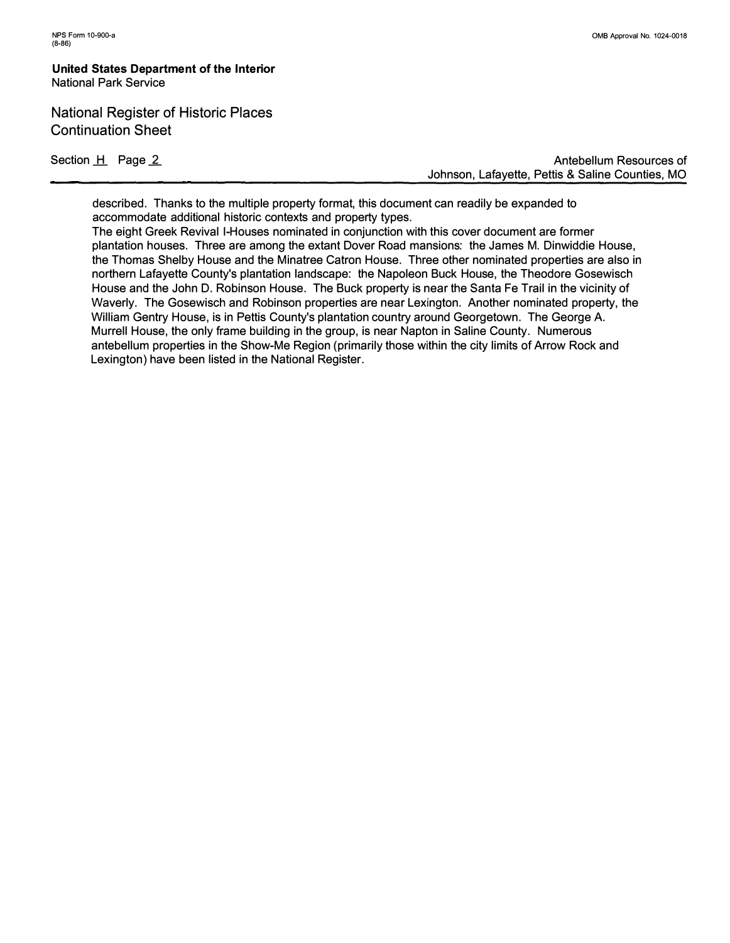National Register of Historic Places Continuation Sheet

Section H Page 2

**Antebellum Resources of Johnson, Lafayette, Pettis & Saline Counties, MO** 

**described. Thanks to the multiple property format, this document can readily be expanded to accommodate additional historic contexts and property types.** 

**The eight Greek Revival I-Houses nominated in conjunction with this cover document are former plantation houses. Three are among the extant Dover Road mansions: the James M. Dinwiddie House, the Thomas Shelby House and the Minatree Catron House. Three other nominated properties are also in northern Lafayette County's plantation landscape: the Napoleon Buck House, the Theodore Gosewisch House and the John D. Robinson House. The Buck property is near the Santa Fe Trail in the vicinity of Waverly. The Gosewisch and Robinson properties are near Lexington. Another nominated property, the William Gentry House, is in Pettis County's plantation country around Georgetown. The George A. Murrell House, the only frame building in the group, is near Napton in Saline County. Numerous antebellum properties in the Show-Me Region (primarily those within the city limits of Arrow Rock and Lexington) have been listed in the National Register.**